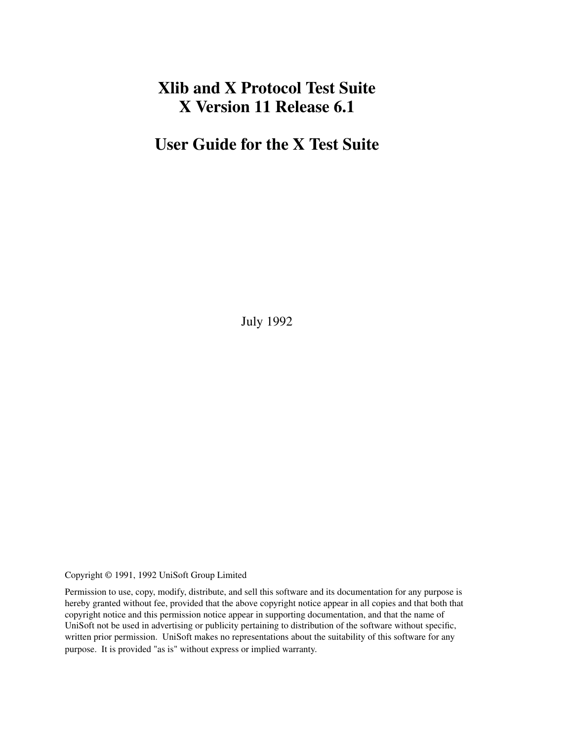# **Xlib and X Protocol Test Suite X Version 11 Release 6.1**

# **User Guide for the X Test Suite**

July 1992

Copyright © 1991, 1992 UniSoft Group Limited

Permission to use, copy, modify, distribute, and sell this software and its documentation for any purpose is hereby granted without fee, provided that the above copyright notice appear in all copies and that both that copyright notice and this permission notice appear in supporting documentation, and that the name of UniSoft not be used in advertising or publicity pertaining to distribution of the software without specific, written prior permission. UniSoft makes no representations about the suitability of this software for any purpose. It is provided "as is" without express or implied warranty.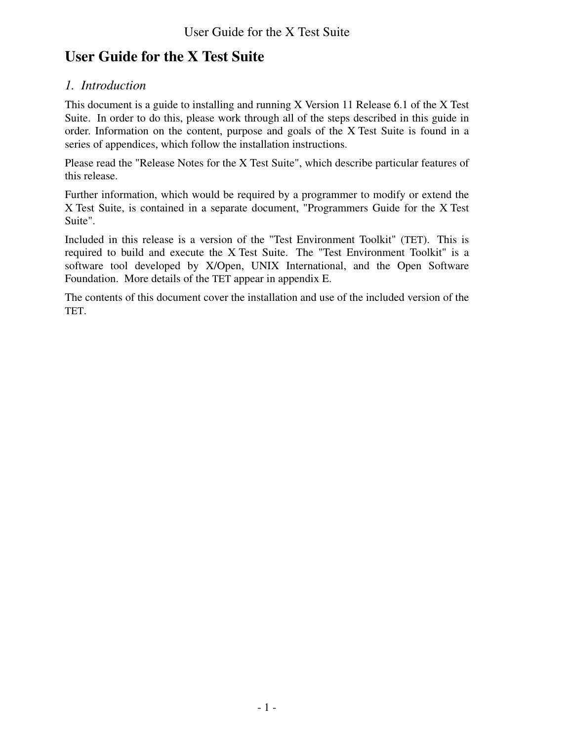# *1. Introduction*

This document is a guide to installing and running X Version 11 Release 6.1 of the X Test Suite. In order to do this, please work through all of the steps described in this guide in order. Information on the content, purpose and goals of the X Test Suite is found in a series of appendices, which follow the installation instructions.

Please read the "Release Notes for the X Test Suite", which describe particular features of this release.

Further information, which would be required by a programmer to modify or extend the X Test Suite, is contained in a separate document, "Programmers Guide for the X Test Suite".

Included in this release is a version of the "Test Environment Toolkit" (TET). This is required to build and execute the X Test Suite. The "Test Environment Toolkit" is a software tool developed by X/Open, UNIX International, and the Open Software Foundation. More details of the TET appear in appendix E.

The contents of this document cover the installation and use of the included version of the TET.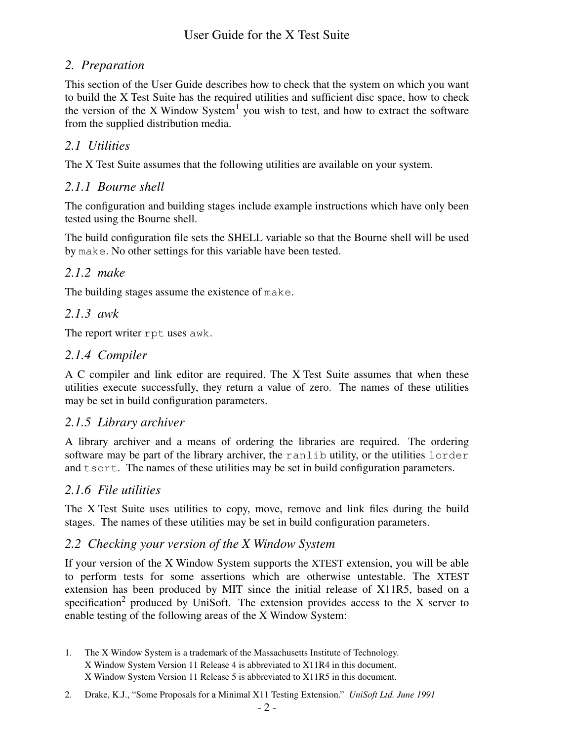# *2. Preparation*

This section of the User Guide describes how to check that the system on which you want to build the X Test Suite has the required utilities and sufficient disc space, how to check the version of the X Window System<sup>1</sup> you wish to test, and how to extract the software from the supplied distribution media.

# *2.1 Utilities*

The X Test Suite assumes that the following utilities are available on your system.

# *2.1.1 Bourne shell*

The configuration and building stages include example instructions which have only been tested using the Bourne shell.

The build configuration file sets the SHELL variable so that the Bourne shell will be used by make. No other settings for this variable have been tested.

# *2.1.2 make*

The building stages assume the existence of make.

## *2.1.3 awk*

The report writer rpt uses awk.

## *2.1.4 Compiler*

ACcompiler and link editor are required. The X Test Suite assumes that when these utilities execute successfully, they return a value of zero. The names of these utilities may be set in build configuration parameters.

## *2.1.5 Library archiver*

A library archiver and a means of ordering the libraries are required. The ordering software may be part of the library archiver, the ranlib utility, or the utilities lorder and tsort. The names of these utilities may be set in build configuration parameters.

# *2.1.6 File utilities*

The X Test Suite uses utilities to copy, move, remove and link files during the build stages. The names of these utilities may be set in build configuration parameters.

## *2.2 Checking your version of the X Window System*

If your version of the X Window System supports the XTEST extension, you will be able to perform tests for some assertions which are otherwise untestable. The XTEST extension has been produced by MIT since the initial release of X11R5, based on a specification<sup>2</sup> produced by UniSoft. The extension provides access to the X server to enable testing of the following areas of the X Window System:

<sup>1.</sup> The X Window System is a trademark of the Massachusetts Institute of Technology. X Window System Version 11 Release 4 is abbreviated to X11R4 in this document. X Window System Version 11 Release 5 is abbreviated to X11R5 in this document.

<sup>2.</sup> Drake, K.J., "Some Proposals for a Minimal X11 Testing Extension." *UniSoft Ltd. June 1991*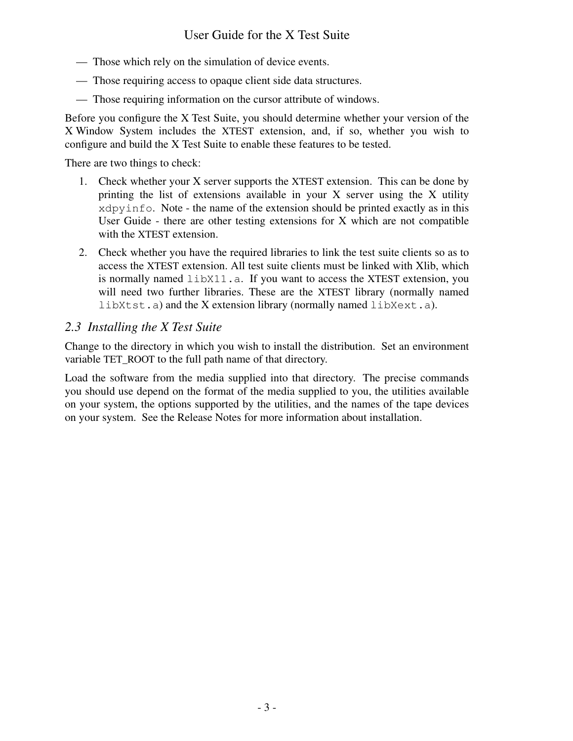- Those which rely on the simulation of device events.
- Those requiring access to opaque client side data structures.
- Those requiring information on the cursor attribute of windows.

Before you configure the X Test Suite, you should determine whether your version of the X Window System includes the XTEST extension, and, if so, whether you wish to configure and build the X Test Suite to enable these features to be tested.

There are two things to check:

- 1. Check whether your X server supports the XTEST extension. This can be done by printing the list of extensions available in your X server using the X utility xdpyinfo. Note - the name of the extension should be printed exactly as in this User Guide - there are other testing extensions for X which are not compatible with the XTEST extension.
- 2. Check whether you have the required libraries to link the test suite clients so as to access the XTEST extension. All test suite clients must be linked with Xlib, which is normally named libX11.a. If you want to access the XTEST extension, you will need two further libraries. These are the XTEST library (normally named libXtst.a) and the X extension library (normally named libXext.a).

## *2.3 Installing the X Test Suite*

Change to the directory in which you wish to install the distribution. Set an environment variable TET\_ROOT to the full path name of that directory.

Load the software from the media supplied into that directory. The precise commands you should use depend on the format of the media supplied to you, the utilities available on your system, the options supported by the utilities, and the names of the tape devices on your system. See the Release Notes for more information about installation.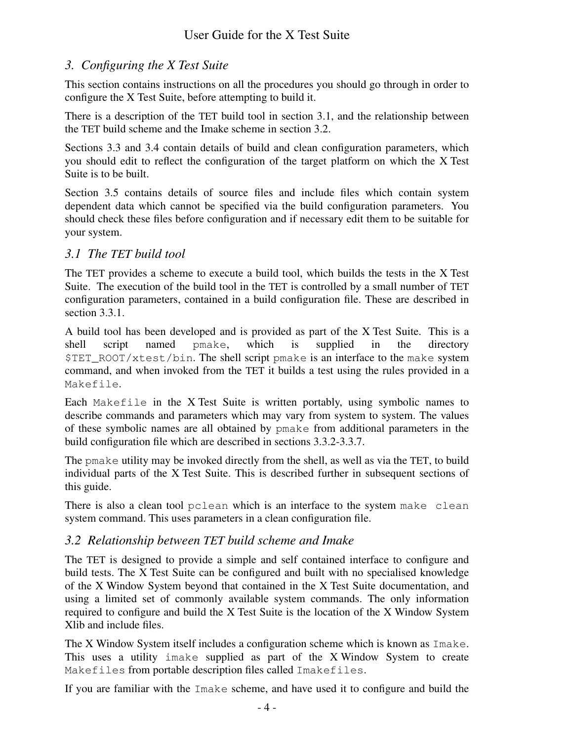# *3. Configuring the X Test Suite*

This section contains instructions on all the procedures you should go through in order to configure the X Test Suite, before attempting to build it.

There is a description of the TET build tool in section 3.1, and the relationship between the TET build scheme and the Imake scheme in section 3.2.

Sections 3.3 and 3.4 contain details of build and clean configuration parameters, which you should edit to reflect the configuration of the target platform on which the X Test Suite is to be built.

Section 3.5 contains details of source files and include files which contain system dependent data which cannot be specified via the build configuration parameters. You should check these files before configuration and if necessary edit them to be suitable for your system.

# *3.1 The TET build tool*

The TET provides a scheme to execute a build tool, which builds the tests in the X Test Suite. The execution of the build tool in the TET is controlled by a small number of TET configuration parameters, contained in a build configuration file. These are described in section 3.3.1.

A build tool has been developed and is provided as part of the X Test Suite. This is a shell script named pmake, which is supplied in the directory \$TET\_ROOT/xtest/bin. The shell script pmake is an interface to the make system command, and when invoked from the TET it builds a test using the rules provided in a Makefile.

Each Makefile in the X Test Suite is written portably, using symbolic names to describe commands and parameters which may vary from system to system. The values of these symbolic names are all obtained by pmake from additional parameters in the build configuration file which are described in sections 3.3.2-3.3.7.

The pmake utility may be invoked directly from the shell, as well as via the TET, to build individual parts of the X Test Suite. This is described further in subsequent sections of this guide.

There is also a clean tool pclean which is an interface to the system make clean system command. This uses parameters in a clean configuration file.

# *3.2 Relationship between TET build scheme and Imake*

The TET is designed to provide a simple and self contained interface to configure and build tests. The X Test Suite can be configured and built with no specialised knowledge of the X Window System beyond that contained in the X Test Suite documentation, and using a limited set of commonly available system commands. The only information required to configure and build the X Test Suite is the location of the X Window System Xlib and include files.

The X Window System itself includes a configuration scheme which is known as Imake. This uses a utility imake supplied as part of the X Window System to create Makefiles from portable description files called Imakefiles.

If you are familiar with the Imake scheme, and have used it to configure and build the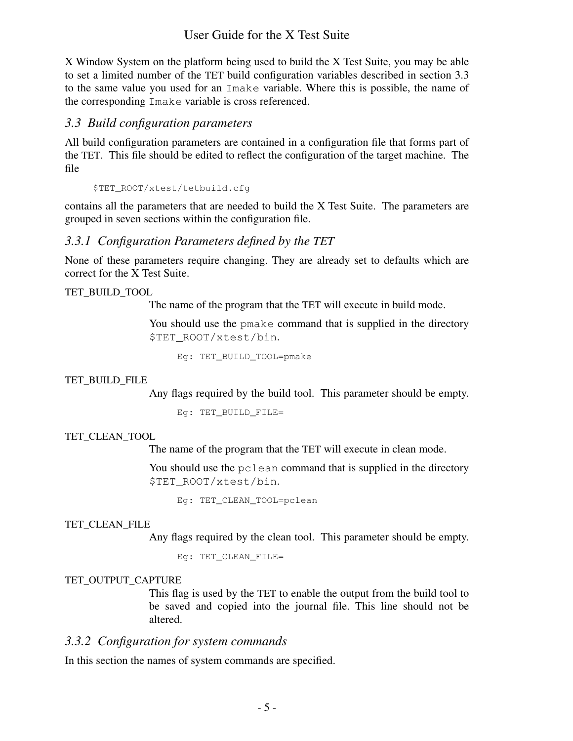X Window System on the platform being used to build the X Test Suite, you may be able to set a limited number of the TET build configuration variables described in section 3.3 to the same value you used for an Imake variable. Where this is possible, the name of the corresponding Imake variable is cross referenced.

#### *3.3 Build configuration parameters*

All build configuration parameters are contained in a configuration file that forms part of the TET. This file should be edited to reflect the configuration of the target machine. The file

\$TET\_ROOT/xtest/tetbuild.cfg

contains all the parameters that are needed to build the X Test Suite. The parameters are grouped in seven sections within the configuration file.

### *3.3.1 Configuration Parameters defined by the TET*

None of these parameters require changing. They are already set to defaults which are correct for the X Test Suite.

#### TET\_BUILD\_TOOL

The name of the program that the TET will execute in build mode.

You should use the pmake command that is supplied in the directory \$TET\_ROOT/xtest/bin.

Eg: TET\_BUILD\_TOOL=pmake

#### TET\_BUILD\_FILE

Any flags required by the build tool. This parameter should be empty.

Eg: TET\_BUILD\_FILE=

#### TET\_CLEAN\_TOOL

The name of the program that the TET will execute in clean mode.

You should use the pclean command that is supplied in the directory \$TET\_ROOT/xtest/bin.

Eg: TET CLEAN TOOL=pclean

#### TET\_CLEAN\_FILE

Any flags required by the clean tool. This parameter should be empty.

Eg: TET\_CLEAN\_FILE=

#### TET\_OUTPUT\_CAPTURE

This flag is used by the TET to enable the output from the build tool to be saved and copied into the journal file. This line should not be altered.

### *3.3.2 Configuration for system commands*

In this section the names of system commands are specified.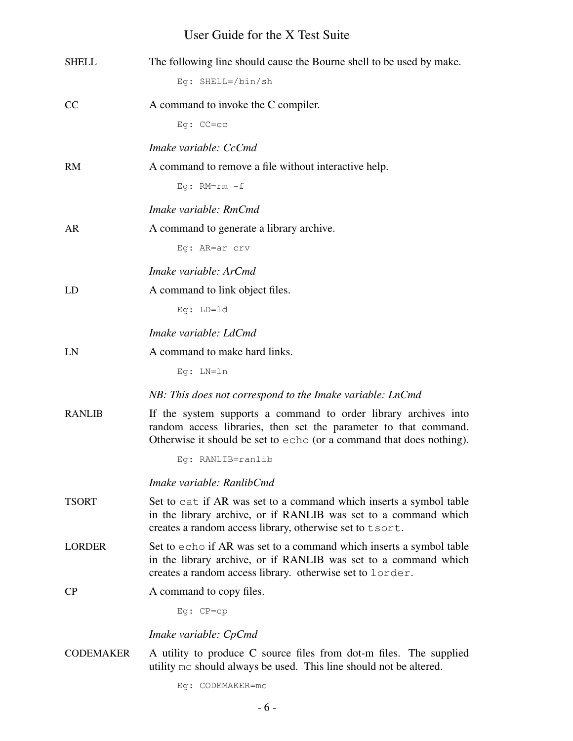| <b>SHELL</b>     | The following line should cause the Bourne shell to be used by make.<br>Eq: SHELL=/bin/sh                                                                                                                   |
|------------------|-------------------------------------------------------------------------------------------------------------------------------------------------------------------------------------------------------------|
| <sub>CC</sub>    | A command to invoke the C compiler.                                                                                                                                                                         |
|                  | $Eg: CC=CC$                                                                                                                                                                                                 |
|                  | Imake variable: CcCmd                                                                                                                                                                                       |
| <b>RM</b>        | A command to remove a file without interactive help.                                                                                                                                                        |
|                  | Eg: $RM=rm-f$                                                                                                                                                                                               |
|                  | Imake variable: RmCmd                                                                                                                                                                                       |
| AR               | A command to generate a library archive.                                                                                                                                                                    |
|                  | Eg: AR=ar crv                                                                                                                                                                                               |
|                  | Imake variable: ArCmd                                                                                                                                                                                       |
| LD               | A command to link object files.                                                                                                                                                                             |
|                  | Eg: LD=1d                                                                                                                                                                                                   |
|                  | Imake variable: LdCmd                                                                                                                                                                                       |
| LN               | A command to make hard links.                                                                                                                                                                               |
|                  | $Eg: LN=ln$                                                                                                                                                                                                 |
|                  | NB: This does not correspond to the Imake variable: LnCmd                                                                                                                                                   |
| <b>RANLIB</b>    | If the system supports a command to order library archives into<br>random access libraries, then set the parameter to that command.<br>Otherwise it should be set to echo (or a command that does nothing). |
|                  | Eg: RANLIB=ranlib                                                                                                                                                                                           |
|                  | Imake variable: RanlibCmd                                                                                                                                                                                   |
| <b>TSORT</b>     | Set to cat if AR was set to a command which inserts a symbol table<br>in the library archive, or if RANLIB was set to a command which<br>creates a random access library, otherwise set to tsort.           |
| <b>LORDER</b>    | Set to echo if AR was set to a command which inserts a symbol table<br>in the library archive, or if RANLIB was set to a command which<br>creates a random access library. otherwise set to lorder.         |
| <b>CP</b>        | A command to copy files.                                                                                                                                                                                    |
|                  | $Eg:CP=cp$                                                                                                                                                                                                  |
|                  | Imake variable: CpCmd                                                                                                                                                                                       |
| <b>CODEMAKER</b> | A utility to produce C source files from dot-m files. The supplied<br>utility mc should always be used. This line should not be altered.                                                                    |
|                  | Eg: CODEMAKER=mc                                                                                                                                                                                            |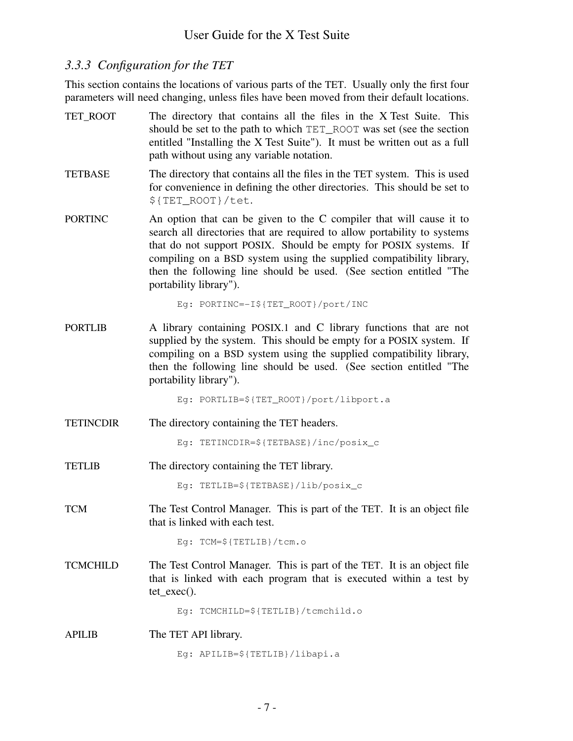## *3.3.3 Configuration for the TET*

This section contains the locations of various parts of the TET. Usually only the first four parameters will need changing, unless files have been moved from their default locations.

- TET\_ROOT The directory that contains all the files in the X Test Suite. This should be set to the path to which TET ROOT was set (see the section entitled "Installing the X Test Suite"). It must be written out as a full path without using any variable notation.
- TETBASE The directory that contains all the files in the TET system. This is used for convenience in defining the other directories. This should be set to \${TET\_ROOT}/tet.
- PORTINC An option that can be given to the C compiler that will cause it to search all directories that are required to allow portability to systems that do not support POSIX. Should be empty for POSIX systems. If compiling on a BSD system using the supplied compatibility library, then the following line should be used. (See section entitled "The portability library").

Eg: PORTINC=-I\${TET\_ROOT}/port/INC

PORTLIB A library containing POSIX.1 and C library functions that are not supplied by the system. This should be empty for a POSIX system. If compiling on a BSD system using the supplied compatibility library, then the following line should be used. (See section entitled "The portability library").

Eg: PORTLIB=\${TET\_ROOT}/port/libport.a

TETINCDIR The directory containing the TET headers.

Eg: TETINCDIR=\${TETBASE}/inc/posix\_c

TETLIB The directory containing the TET library.

Eg: TETLIB=\${TETBASE}/lib/posix\_c

TCM The Test Control Manager. This is part of the TET. It is an object file that is linked with each test.

Eg: TCM=\${TETLIB}/tcm.o

TCMCHILD The Test Control Manager. This is part of the TET. It is an object file that is linked with each program that is executed within a test by tet\_exec().

Eg: TCMCHILD=\${TETLIB}/tcmchild.o

APILIB The TET API library.

Eg: APILIB=\${TETLIB}/libapi.a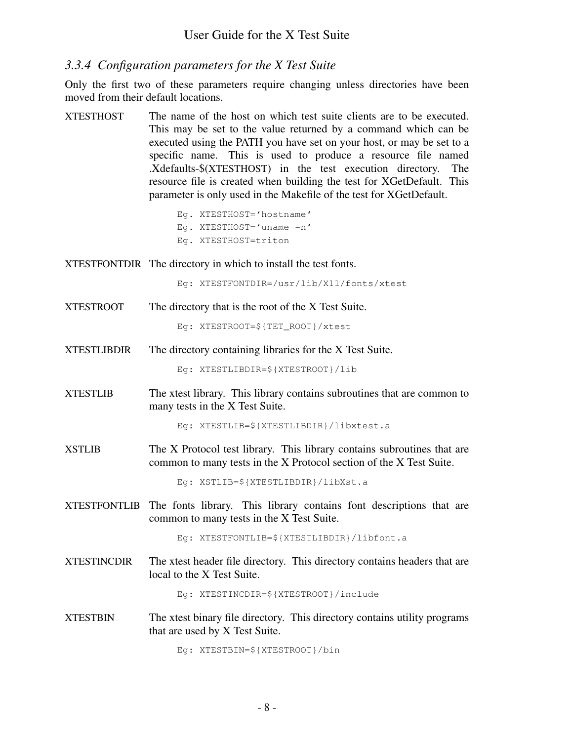### *3.3.4 Configuration parameters for the X Test Suite*

Only the first two of these parameters require changing unless directories have been moved from their default locations.

XTESTHOST The name of the host on which test suite clients are to be executed. This may be set to the value returned by a command which can be executed using the PATH you have set on your host, or may be set to a specific name. This is used to produce a resource file named .Xdefaults-\$(XTESTHOST) in the test execution directory. The resource file is created when building the test for XGetDefault. This parameter is only used in the Makefile of the test for XGetDefault.

> Eg. XTESTHOST='hostname' Eq. XTESTHOST= $'$ uname  $-n'$ Eg. XTESTHOST=triton

XTESTFONTDIR The directory in which to install the test fonts.

Eg: XTESTFONTDIR=/usr/lib/X11/fonts/xtest

XTESTROOT The directory that is the root of the X Test Suite.

Eg: XTESTROOT=\${TET\_ROOT}/xtest

XTESTLIBDIR The directory containing libraries for the X Test Suite.

Eg: XTESTLIBDIR=\${XTESTROOT}/lib

XTESTLIB The xtest library. This library contains subroutines that are common to many tests in the X Test Suite.

Eg: XTESTLIB=\${XTESTLIBDIR}/libxtest.a

XSTLIB The X Protocol test library. This library contains subroutines that are common to many tests in the X Protocol section of the X Test Suite.

Eg: XSTLIB=\${XTESTLIBDIR}/libXst.a

XTESTFONTLIB The fonts library. This library contains font descriptions that are common to many tests in the X Test Suite.

Eg: XTESTFONTLIB=\${XTESTLIBDIR}/libfont.a

XTESTINCDIR The xtest header file directory. This directory contains headers that are local to the X Test Suite.

Eg: XTESTINCDIR=\${XTESTROOT}/include

XTESTBIN The xtest binary file directory. This directory contains utility programs that are used by X Test Suite.

Eg: XTESTBIN=\${XTESTROOT}/bin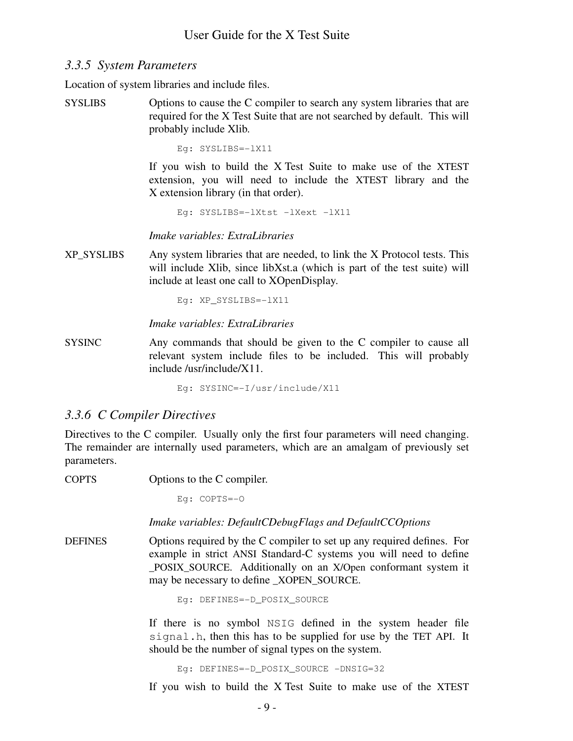## *3.3.5 System Parameters*

Location of system libraries and include files.

SYSLIBS Options to cause the C compiler to search any system libraries that are required for the X Test Suite that are not searched by default. This will probably include Xlib.

Eg: SYSLIBS=-lX11

If you wish to build the X Test Suite to make use of the XTEST extension, you will need to include the XTEST library and the X extension library (in that order).

Eg: SYSLIBS=-lXtst -lXext -lX11

*Imake variables: ExtraLibraries*

XP\_SYSLIBS Any system libraries that are needed, to link the X Protocol tests. This will include Xlib, since libXst.a (which is part of the test suite) will include at least one call to XOpenDisplay.

Eg: XP\_SYSLIBS=-lX11

*Imake variables: ExtraLibraries*

SYSINC Any commands that should be given to the C compiler to cause all relevant system include files to be included. This will probably include /usr/include/X11.

Eg: SYSINC=-I/usr/include/X11

## *3.3.6 C Compiler Directives*

Directives to the C compiler. Usually only the first four parameters will need changing. The remainder are internally used parameters, which are an amalgam of previously set parameters.

COPTS Options to the C compiler.

Eg: COPTS=-O

*Imake variables: DefaultCDebugFlags and DefaultCCOptions*

DEFINES Options required by the C compiler to set up any required defines. For example in strict ANSI Standard-C systems you will need to define \_POSIX\_SOURCE. Additionally on an X/Open conformant system it may be necessary to define \_XOPEN\_SOURCE.

Eg: DEFINES=-D\_POSIX\_SOURCE

If there is no symbol NSIG defined in the system header file signal.h, then this has to be supplied for use by the TET API. It should be the number of signal types on the system.

Eg: DEFINES=-D\_POSIX\_SOURCE -DNSIG=32

If you wish to build the X Test Suite to make use of the XTEST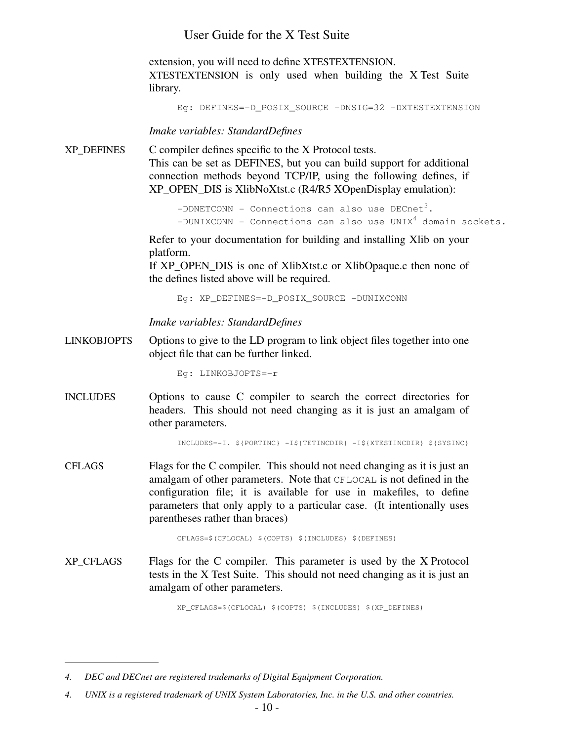extension, you will need to define XTESTEXTENSION. XTESTEXTENSION is only used when building the X Test Suite library.

```
Eg: DEFINES=-D_POSIX_SOURCE -DNSIG=32 -DXTESTEXTENSION
```
*Imake variables: StandardDefines*

XP\_DEFINES C compiler defines specific to the X Protocol tests. This can be set as DEFINES, but you can build support for additional connection methods beyond TCP/IP, using the following defines, if XP\_OPEN\_DIS is XlibNoXtst.c (R4/R5 XOpenDisplay emulation):

> $-DDNETCOMM - Connections can also use  $DECnet^3$ .$  $-DUNIXCONN -$  Connections can also use  $UNIX<sup>4</sup>$  domain sockets.

Refer to your documentation for building and installing Xlib on your platform.

If XP\_OPEN\_DIS is one of XlibXtst.c or XlibOpaque.c then none of the defines listed above will be required.

Eg: XP\_DEFINES=-D\_POSIX\_SOURCE -DUNIXCONN

*Imake variables: StandardDefines*

LINKOBJOPTS Options to give to the LD program to link object files together into one object file that can be further linked.

Eg: LINKOBJOPTS=-r

INCLUDES Options to cause C compiler to search the correct directories for headers. This should not need changing as it is just an amalgam of other parameters.

INCLUDES=-I. \${PORTINC} -I\${TETINCDIR} -I\${XTESTINCDIR} \${SYSINC}

CFLAGS Flags for the C compiler. This should not need changing as it is just an amalgam of other parameters. Note that CFLOCAL is not defined in the configuration file; it is available for use in makefiles, to define parameters that only apply to a particular case. (It intentionally uses parentheses rather than braces)

CFLAGS=\$(CFLOCAL) \$(COPTS) \$(INCLUDES) \$(DEFINES)

XP CFLAGS Flags for the C compiler. This parameter is used by the X Protocol tests in the X Test Suite. This should not need changing as it is just an amalgam of other parameters.

XP\_CFLAGS=\$(CFLOCAL) \$(COPTS) \$(INCLUDES) \$(XP\_DEFINES)

*<sup>4.</sup> DEC and DECnet are registered trademarks of Digital Equipment Corporation.*

*<sup>4.</sup> UNIX is a registered trademark of UNIX System Laboratories, Inc. in the U.S. and other countries.*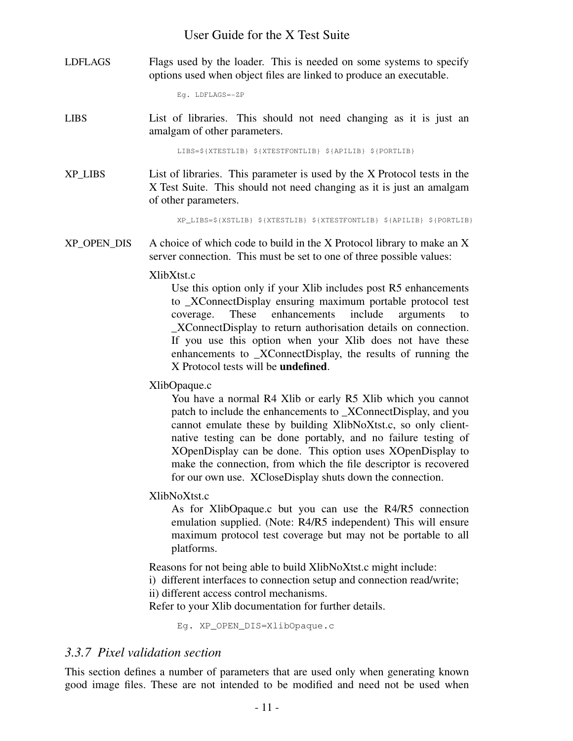LDFLAGS Flags used by the loader. This is needed on some systems to specify options used when object files are linked to produce an executable.

Eg. LDFLAGS=-ZP

LIBS List of libraries. This should not need changing as it is just an amalgam of other parameters.

LIBS=\${XTESTLIB} \${XTESTFONTLIB} \${APILIB} \${PORTLIB}

XP\_LIBS List of libraries. This parameter is used by the X Protocol tests in the X Test Suite. This should not need changing as it is just an amalgam of other parameters.

XP\_LIBS=\${XSTLIB} \${XTESTLIB} \${XTESTFONTLIB} \${APILIB} \${PORTLIB}

 $XP$  OPEN DIS A choice of which code to build in the X Protocol library to make an X server connection. This must be set to one of three possible values:

#### XlibXtst.c

Use this option only if your Xlib includes post R5 enhancements to \_XConnectDisplay ensuring maximum portable protocol test coverage. These enhancements include arguments to \_XConnectDisplay to return authorisation details on connection. If you use this option when your Xlib does not have these enhancements to \_XConnectDisplay, the results of running the X Protocol tests will be **undefined**.

XlibOpaque.c

You have a normal R4 Xlib or early R5 Xlib which you cannot patch to include the enhancements to \_XConnectDisplay, and you cannot emulate these by building XlibNoXtst.c, so only clientnative testing can be done portably, and no failure testing of XOpenDisplay can be done. This option uses XOpenDisplay to make the connection, from which the file descriptor is recovered for our own use. XCloseDisplay shuts down the connection.

XlibNoXtst.c

As for XlibOpaque.c but you can use the R4/R5 connection emulation supplied. (Note: R4/R5 independent) This will ensure maximum protocol test coverage but may not be portable to all platforms.

Reasons for not being able to build XlibNoXtst.c might include:

- i) different interfaces to connection setup and connection read/write;
- ii) different access control mechanisms.

Refer to your Xlib documentation for further details.

Eg. XP\_OPEN\_DIS=XlibOpaque.c

## *3.3.7 Pixel validation section*

This section defines a number of parameters that are used only when generating known good image files. These are not intended to be modified and need not be used when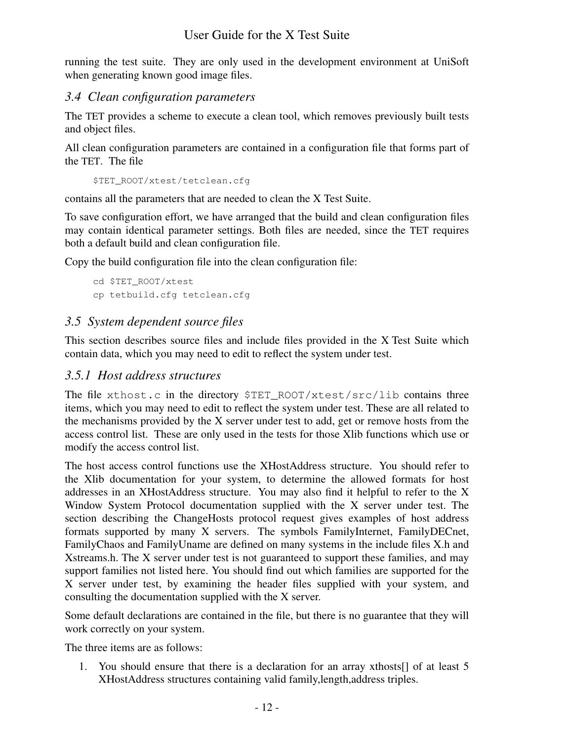running the test suite. They are only used in the development environment at UniSoft when generating known good image files.

## *3.4 Clean configuration parameters*

The TET provides a scheme to execute a clean tool, which removes previously built tests and object files.

All clean configuration parameters are contained in a configuration file that forms part of the TET. The file

\$TET\_ROOT/xtest/tetclean.cfg

contains all the parameters that are needed to clean the X Test Suite.

To save configuration effort, we have arranged that the build and clean configuration files may contain identical parameter settings. Both files are needed, since the TET requires both a default build and clean configuration file.

Copy the build configuration file into the clean configuration file:

```
cd $TET_ROOT/xtest
cp tetbuild.cfg tetclean.cfg
```
## *3.5 System dependent source files*

This section describes source files and include files provided in the X Test Suite which contain data, which you may need to edit to reflect the system under test.

## *3.5.1 Host address structures*

The file xthost.c in the directory \$TET\_ROOT/xtest/src/lib contains three items, which you may need to edit to reflect the system under test. These are all related to the mechanisms provided by the X server under test to add, get or remove hosts from the access control list. These are only used in the tests for those Xlib functions which use or modify the access control list.

The host access control functions use the XHostAddress structure. You should refer to the Xlib documentation for your system, to determine the allowed formats for host addresses in an XHostAddress structure. You may also find it helpful to refer to the X Window System Protocol documentation supplied with the X server under test. The section describing the ChangeHosts protocol request gives examples of host address formats supported by many  $X$  servers. The symbols FamilyInternet, FamilyDECnet, FamilyChaos and FamilyUname are defined on many systems in the include files X.h and Xstreams.h. The X server under test is not guaranteed to support these families, and may support families not listed here. You should find out which families are supported for the X server under test, by examining the header files supplied with your system, and consulting the documentation supplied with the X server.

Some default declarations are contained in the file, but there is no guarantee that they will work correctly on your system.

The three items are as follows:

1. You should ensure that there is a declaration for an array xthosts[] of at least 5 XHostAddress structures containing valid family,length,address triples.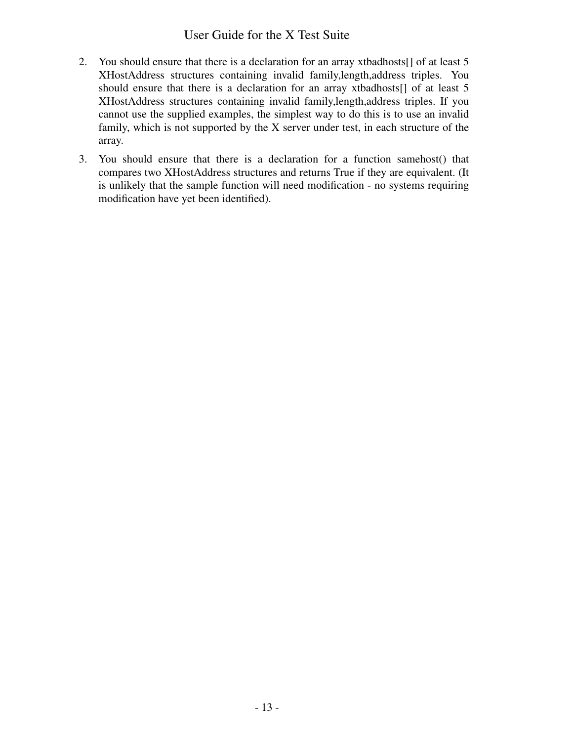- 2. You should ensure that there is a declaration for an array xtbadhosts[] of at least 5 XHostAddress structures containing invalid family,length,address triples. You should ensure that there is a declaration for an array xtbadhosts[] of at least 5 XHostAddress structures containing invalid family,length,address triples. If you cannot use the supplied examples, the simplest way to do this is to use an invalid family, which is not supported by the X server under test, in each structure of the array.
- 3. You should ensure that there is a declaration for a function samehost() that compares two XHostAddress structures and returns True if they are equivalent. (It is unlikely that the sample function will need modification - no systems requiring modification have yet been identified).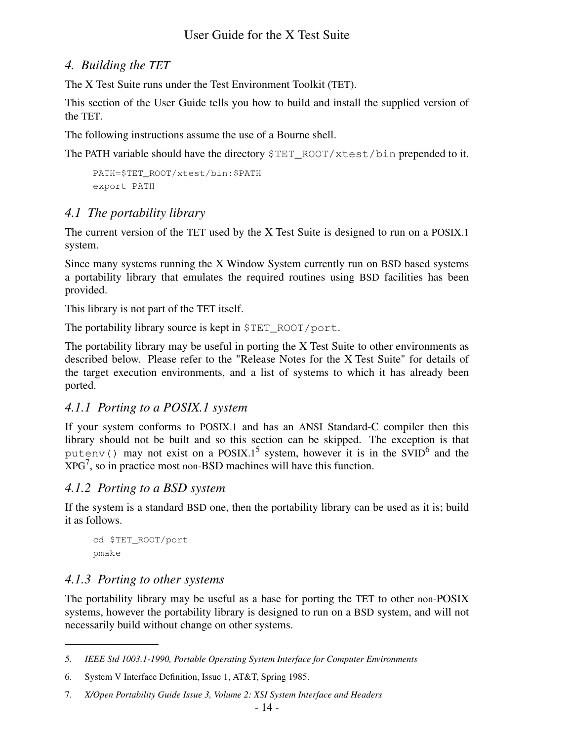## *4. Building the TET*

The X Test Suite runs under the Test Environment Toolkit (TET).

This section of the User Guide tells you how to build and install the supplied version of the TET.

The following instructions assume the use of a Bourne shell.

The PATH variable should have the directory \$TET\_ROOT/xtest/bin prepended to it.

```
PATH=$TET_ROOT/xtest/bin:$PATH
export PATH
```
# *4.1 The portability library*

The current version of the TET used by the X Test Suite is designed to run on a POSIX.1 system.

Since many systems running the X Window System currently run on BSD based systems a portability library that emulates the required routines using BSD facilities has been provided.

This library is not part of the TET itself.

The portability library source is kept in \$TET\_ROOT/port.

The portability library may be useful in porting the X Test Suite to other environments as described below. Please refer to the "Release Notes for the X Test Suite" for details of the target execution environments, and a list of systems to which it has already been ported.

## *4.1.1 Porting to a POSIX.1 system*

If your system conforms to POSIX.1 and has an ANSI Standard-C compiler then this library should not be built and so this section can be skipped. The exception is that putenv() may not exist on a POSIX.1<sup>5</sup> system, however it is in the SVID<sup>6</sup> and the  $XPG<sup>7</sup>$ , so in practice most non-BSD machines will have this function.

## *4.1.2 Porting to a BSD system*

If the system is a standard BSD one, then the portability library can be used as it is; build it as follows.

```
cd $TET_ROOT/port
pmake
```
## *4.1.3 Porting to other systems*

The portability library may be useful as a base for porting the TET to other non-POSIX systems, however the portability library is designed to run on a BSD system, and will not necessarily build without change on other systems.

*<sup>5.</sup> IEEE Std 1003.1-1990, Portable Operating System Interface for Computer Environments*

<sup>6.</sup> System V Interface Definition, Issue 1, AT&T, Spring 1985.

<sup>7.</sup> *X/Open Portability Guide Issue 3, Volume 2: XSI System Interface and Headers*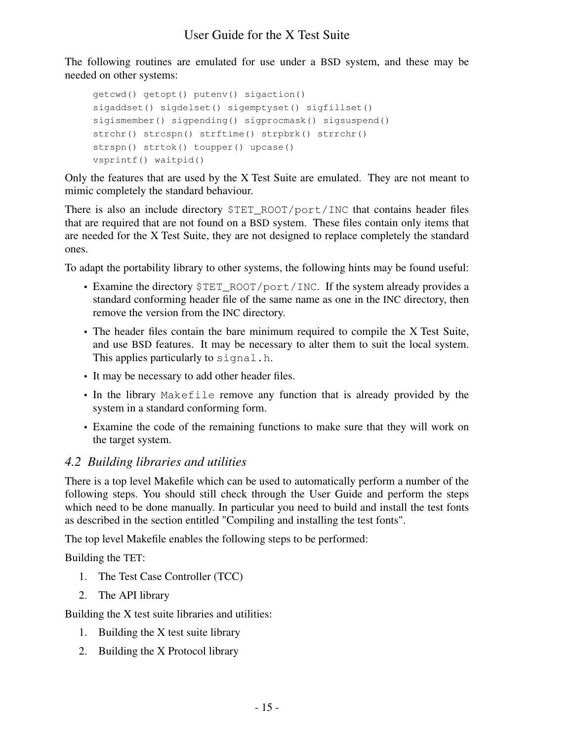The following routines are emulated for use under a BSD system, and these may be needed on other systems:

```
getcwd() getopt() putenv() sigaction()
sigaddset() sigdelset() sigemptyset() sigfillset()
sigismember() sigpending() sigprocmask() sigsuspend()
strchr() strcspn() strftime() strpbrk() strrchr()
strspn() strtok() toupper() upcase()
vsprintf() waitpid()
```
Only the features that are used by the X Test Suite are emulated. They are not meant to mimic completely the standard behaviour.

There is also an include directory \$TET\_ROOT/port/INC that contains header files that are required that are not found on a BSD system. These files contain only items that are needed for the X Test Suite, they are not designed to replace completely the standard ones.

To adapt the portability library to other systems, the following hints may be found useful:

- Examine the directory \$TET\_ROOT/port/INC. If the system already provides a standard conforming header file of the same name as one in the INC directory, then remove the version from the INC directory.
- The header files contain the bare minimum required to compile the X Test Suite, and use BSD features. It may be necessary to alter them to suit the local system. This applies particularly to signal.h.
- It may be necessary to add other header files.
- In the library Makefile remove any function that is already provided by the system in a standard conforming form.
- Examine the code of the remaining functions to make sure that they will work on the target system.

## *4.2 Building libraries and utilities*

There is a top level Makefile which can be used to automatically perform a number of the following steps. You should still check through the User Guide and perform the steps which need to be done manually. In particular you need to build and install the test fonts as described in the section entitled "Compiling and installing the test fonts".

The top level Makefile enables the following steps to be performed:

Building the TET:

- 1. The Test Case Controller (TCC)
- 2. The API library

Building the X test suite libraries and utilities:

- 1. Building the X test suite library
- 2. Building the X Protocol library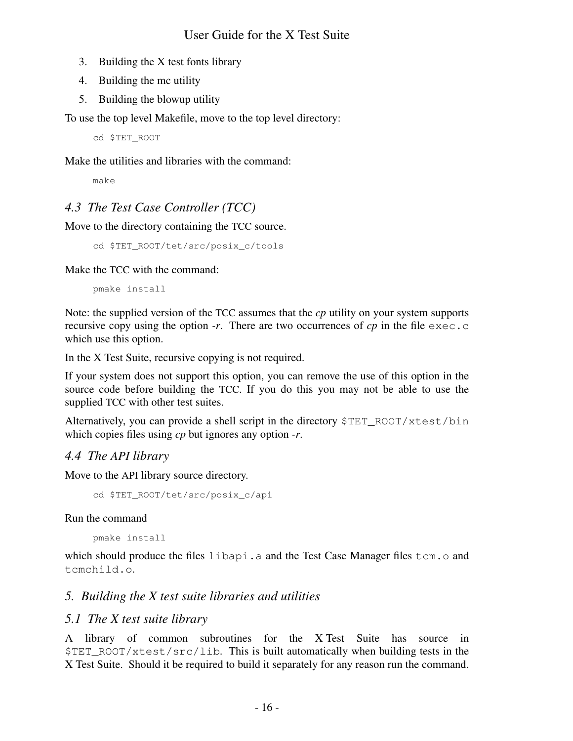- 3. Building the X test fonts library
- 4. Building the mc utility
- 5. Building the blowup utility

To use the top level Makefile, move to the top level directory:

cd \$TET\_ROOT

Make the utilities and libraries with the command:

make

# *4.3 The Test Case Controller (TCC)*

Move to the directory containing the TCC source.

```
cd $TET_ROOT/tet/src/posix_c/tools
```
Make the TCC with the command:

pmake install

Note: the supplied version of the TCC assumes that the *cp* utility on your system supports recursive copy using the option *-r*. There are two occurrences of *cp* in the file  $\epsilon \geq c$ . which use this option.

In the X Test Suite, recursive copying is not required.

If your system does not support this option, you can remove the use of this option in the source code before building the TCC. If you do this you may not be able to use the supplied TCC with other test suites.

Alternatively, you can provide a shell script in the directory \$TET\_ROOT/xtest/bin which copies files using *cp* but ignores any option *-r*.

## *4.4 The API library*

Move to the API library source directory.

```
cd $TET_ROOT/tet/src/posix_c/api
```
Run the command

pmake install

which should produce the files libapi.a and the Test Case Manager files tcm.o and tcmchild.o.

# *5. Building the X test suite libraries and utilities*

## *5.1 The X test suite library*

A library of common subroutines for the X Test Suite has source in  $STETROOT/xtest/src/lib.$  This is built automatically when building tests in the X Test Suite. Should it be required to build it separately for any reason run the command.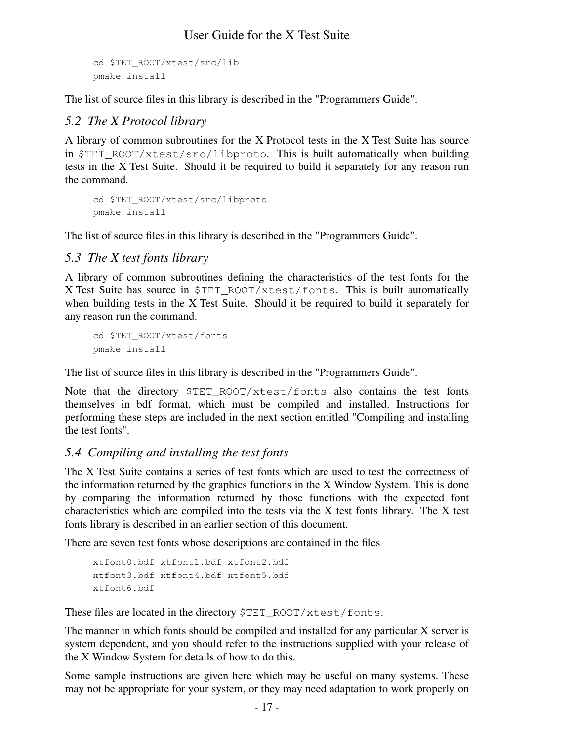```
cd $TET_ROOT/xtest/src/lib
pmake install
```
The list of source files in this library is described in the "Programmers Guide".

## *5.2 The X Protocol library*

A library of common subroutines for the X Protocol tests in the X Test Suite has source in \$TET\_ROOT/xtest/src/libproto. This is built automatically when building tests in the X Test Suite. Should it be required to build it separately for any reason run the command.

```
cd $TET_ROOT/xtest/src/libproto
pmake install
```
The list of source files in this library is described in the "Programmers Guide".

## *5.3 The X test fonts library*

A library of common subroutines defining the characteristics of the test fonts for the X Test Suite has source in \$TET\_ROOT/xtest/fonts. This is built automatically when building tests in the X Test Suite. Should it be required to build it separately for any reason run the command.

```
cd $TET_ROOT/xtest/fonts
pmake install
```
The list of source files in this library is described in the "Programmers Guide".

Note that the directory \$TET\_ROOT/xtest/fonts also contains the test fonts themselves in bdf format, which must be compiled and installed. Instructions for performing these steps are included in the next section entitled "Compiling and installing the test fonts".

## *5.4 Compiling and installing the test fonts*

The X Test Suite contains a series of test fonts which are used to test the correctness of the information returned by the graphics functions in the X Window System. This is done by comparing the information returned by those functions with the expected font characteristics which are compiled into the tests via the X test fonts library. The X test fonts library is described in an earlier section of this document.

There are seven test fonts whose descriptions are contained in the files

```
xtfont0.bdf xtfont1.bdf xtfont2.bdf
xtfont3.bdf xtfont4.bdf xtfont5.bdf
xtfont6.bdf
```
These files are located in the directory \$TET\_ROOT/xtest/fonts.

The manner in which fonts should be compiled and installed for any particular X server is system dependent, and you should refer to the instructions supplied with your release of the X Window System for details of how to do this.

Some sample instructions are given here which may be useful on many systems. These may not be appropriate for your system, or they may need adaptation to work properly on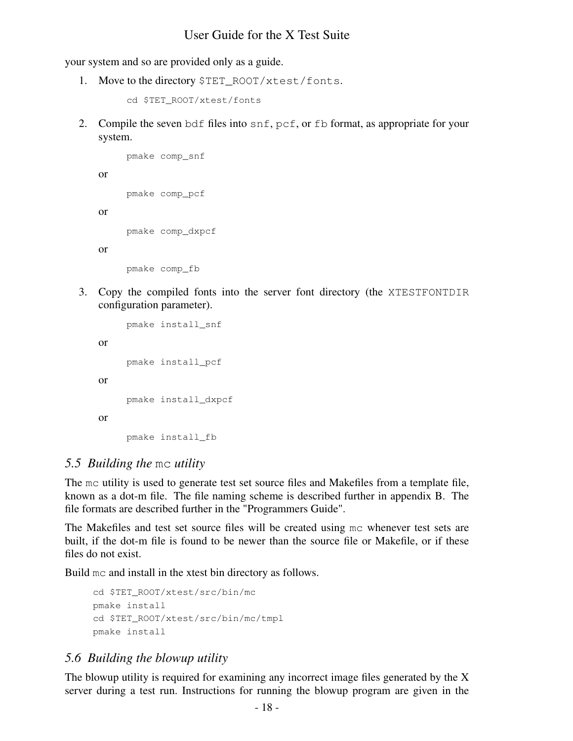your system and so are provided only as a guide.

1. Move to the directory \$TET\_ROOT/xtest/fonts.

```
cd $TET_ROOT/xtest/fonts
```
2. Compile the seven bdf files into snf, pcf, or fb format, as appropriate for your system.

```
pmake comp_snf
pmake comp_pcf
pmake comp_dxpcf
pmake comp_fb
```
or

or

or

3. Copy the compiled fonts into the server font directory (the XTESTFONTDIR configuration parameter).

```
pmake install_snf
or
     pmake install_pcf
or
     pmake install_dxpcf
or
     pmake install_fb
```
## *5.5 Building the* mc *utility*

The mc utility is used to generate test set source files and Makefiles from a template file, known as a dot-m file. The file naming scheme is described further in appendix B. The file formats are described further in the "Programmers Guide".

The Makefiles and test set source files will be created using mc whenever test sets are built, if the dot-m file is found to be newer than the source file or Makefile, or if these files do not exist.

Build mc and install in the xtest bin directory as follows.

```
cd $TET_ROOT/xtest/src/bin/mc
pmake install
cd $TET_ROOT/xtest/src/bin/mc/tmpl
pmake install
```
## *5.6 Building the blowup utility*

The blowup utility is required for examining any incorrect image files generated by the X server during a test run. Instructions for running the blowup program are given in the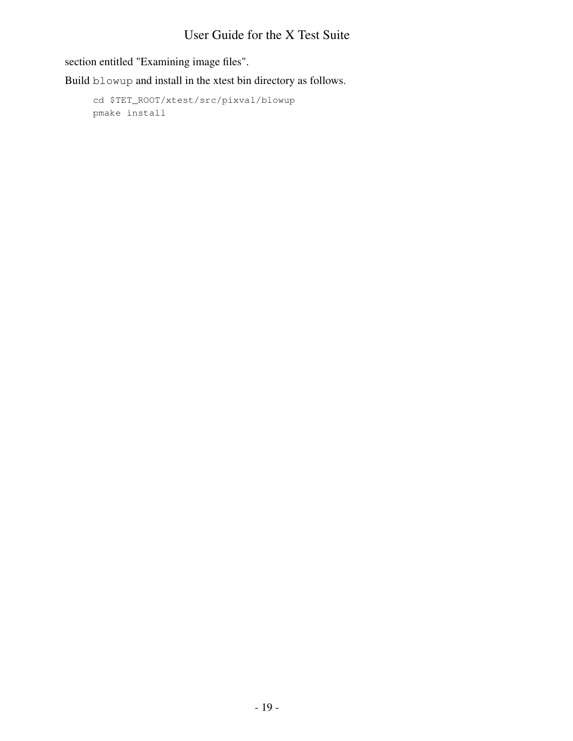section entitled "Examining image files".

Build blowup and install in the xtest bin directory as follows.

```
cd $TET_ROOT/xtest/src/pixval/blowup
pmake install
```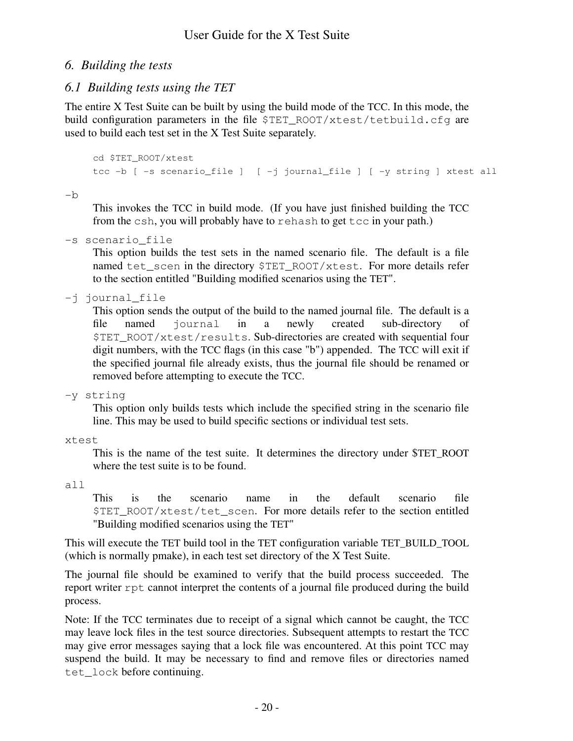## *6. Building the tests*

# *6.1 Building tests using the TET*

The entire X Test Suite can be built by using the build mode of the TCC. In this mode, the build configuration parameters in the file  $\S$ TET\_ROOT/xtest/tetbuild.cfg are used to build each test set in the X Test Suite separately.

```
cd $TET_ROOT/xtest
tcc -b [ -s scenario_file ] [ -j journal_file ] [ -y string ] xtest all
```
-b

This invokes the TCC in build mode. (If you have just finished building the TCC from the csh, you will probably have to rehash to get tcc in your path.)

-s scenario\_file

This option builds the test sets in the named scenario file. The default is a file named tet\_scen in the directory \$TET\_ROOT/xtest. For more details refer to the section entitled "Building modified scenarios using the TET".

-j journal\_file

This option sends the output of the build to the named journal file. The default is a file named journal in a newly created sub-directory of \$TET\_ROOT/xtest/results. Sub-directories are created with sequential four digit numbers, with the TCC flags (in this case "b") appended. The TCC will exit if the specified journal file already exists, thus the journal file should be renamed or removed before attempting to execute the TCC.

-y string

This option only builds tests which include the specified string in the scenario file line. This may be used to build specific sections or individual test sets.

xtest

This is the name of the test suite. It determines the directory under \$TET\_ROOT where the test suite is to be found.

all

This is the scenario name in the default scenario file \$TET\_ROOT/xtest/tet\_scen. For more details refer to the section entitled "Building modified scenarios using the TET"

This will execute the TET build tool in the TET configuration variable TET\_BUILD\_TOOL (which is normally pmake), in each test set directory of the X Test Suite.

The journal file should be examined to verify that the build process succeeded. The report writer rpt cannot interpret the contents of a journal file produced during the build process.

Note: If the TCC terminates due to receipt of a signal which cannot be caught, the TCC may leave lock files in the test source directories. Subsequent attempts to restart the TCC may give error messages saying that a lock file was encountered. At this point TCC may suspend the build. It may be necessary to find and remove files or directories named tet\_lock before continuing.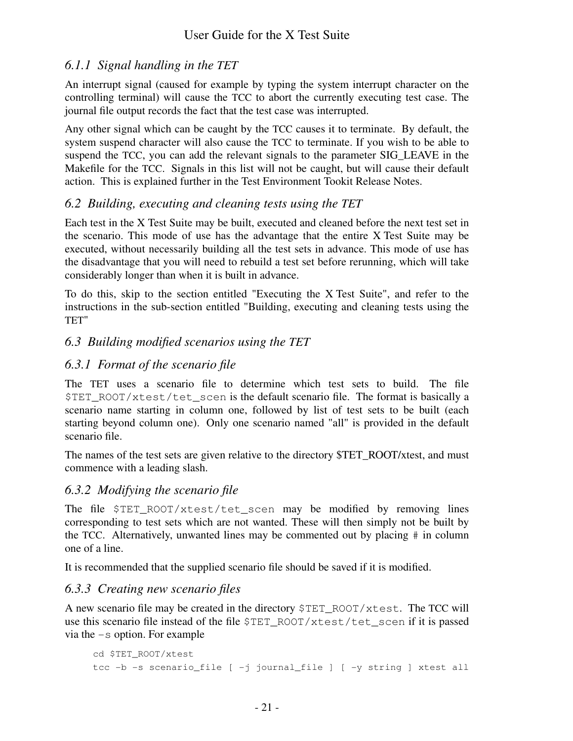# *6.1.1 Signal handling in the TET*

An interrupt signal (caused for example by typing the system interrupt character on the controlling terminal) will cause the TCC to abort the currently executing test case. The journal file output records the fact that the test case was interrupted.

Any other signal which can be caught by the TCC causes it to terminate. By default, the system suspend character will also cause the TCC to terminate. If you wish to be able to suspend the TCC, you can add the relevant signals to the parameter SIG\_LEAVE in the Makefile for the TCC. Signals in this list will not be caught, but will cause their default action. This is explained further in the Test Environment Tookit Release Notes.

# *6.2 Building, executing and cleaning tests using the TET*

Each test in the X Test Suite may be built, executed and cleaned before the next test set in the scenario. This mode of use has the advantage that the entire X Test Suite may be executed, without necessarily building all the test sets in advance. This mode of use has the disadvantage that you will need to rebuild a test set before rerunning, which will take considerably longer than when it is built in advance.

To do this, skip to the section entitled "Executing the X Test Suite", and refer to the instructions in the sub-section entitled "Building, executing and cleaning tests using the TET"

# *6.3 Building modified scenarios using the TET*

# *6.3.1 Format of the scenario file*

The TET uses a scenario file to determine which test sets to build. The file \$TET\_ROOT/xtest/tet\_scen is the default scenario file. The format is basically a scenario name starting in column one, followed by list of test sets to be built (each starting beyond column one). Only one scenario named "all" is provided in the default scenario file.

The names of the test sets are given relative to the directory \$TET\_ROOT/xtest, and must commence with a leading slash.

## *6.3.2 Modifying the scenario file*

The file \$TET\_ROOT/xtest/tet\_scen may be modified by removing lines corresponding to test sets which are not wanted. These will then simply not be built by the TCC. Alternatively, unwanted lines may be commented out by placing # in column one of a line.

It is recommended that the supplied scenario file should be saved if it is modified.

## *6.3.3 Creating new scenario files*

A new scenario file may be created in the directory  $\text{FET ROOT/xtest}$ . The TCC will use this scenario file instead of the file \$TET\_ROOT/xtest/tet\_scen if it is passed via the -s option. For example

```
cd $TET_ROOT/xtest
tcc -b -s scenario_file [ -j journal_file ] [ -y string ] xtest all
```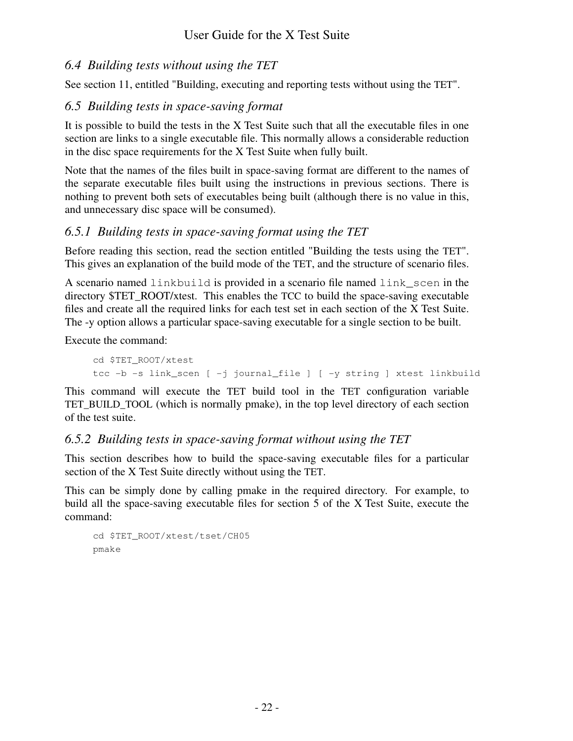# *6.4 Building tests without using the TET*

See section 11, entitled "Building, executing and reporting tests without using the TET".

# *6.5 Building tests in space-saving format*

It is possible to build the tests in the X Test Suite such that all the executable files in one section are links to a single executable file. This normally allows a considerable reduction in the disc space requirements for the X Test Suite when fully built.

Note that the names of the files built in space-saving format are different to the names of the separate executable files built using the instructions in previous sections. There is nothing to prevent both sets of executables being built (although there is no value in this, and unnecessary disc space will be consumed).

# *6.5.1 Building tests in space-saving format using the TET*

Before reading this section, read the section entitled "Building the tests using the TET". This gives an explanation of the build mode of the TET, and the structure of scenario files.

A scenario named linkbuild is provided in a scenario file named link\_scen in the directory \$TET\_ROOT/xtest. This enables the TCC to build the space-saving executable files and create all the required links for each test set in each section of the X Test Suite. The -y option allows a particular space-saving executable for a single section to be built.

Execute the command:

```
cd $TET_ROOT/xtest
tcc -b -s link_scen [ -j journal_file ] [ -y string ] xtest linkbuild
```
This command will execute the TET build tool in the TET configuration variable TET BUILD TOOL (which is normally pmake), in the top level directory of each section of the test suite.

# *6.5.2 Building tests in space-saving format without using the TET*

This section describes how to build the space-saving executable files for a particular section of the X Test Suite directly without using the TET.

This can be simply done by calling pmake in the required directory. For example, to build all the space-saving executable files for section 5 of the X Test Suite, execute the command:

```
cd $TET_ROOT/xtest/tset/CH05
pmake
```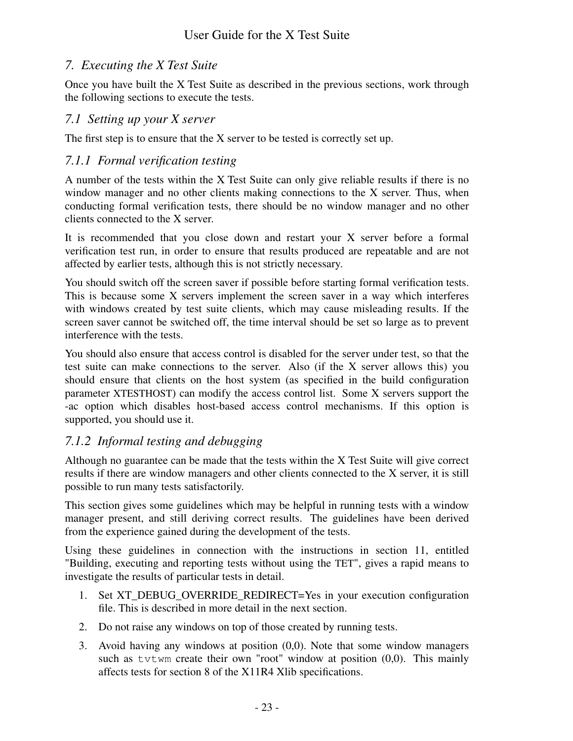# *7. Executing the X Test Suite*

Once you have built the X Test Suite as described in the previous sections, work through the following sections to execute the tests.

## *7.1 Setting up your X server*

The first step is to ensure that the X server to be tested is correctly set up.

# *7.1.1 Formal verification testing*

A number of the tests within the X Test Suite can only give reliable results if there is no window manager and no other clients making connections to the X server. Thus, when conducting formal verification tests, there should be no window manager and no other clients connected to the X server.

It is recommended that you close down and restart your X server before a formal verification test run, in order to ensure that results produced are repeatable and are not affected by earlier tests, although this is not strictly necessary.

You should switch off the screen saver if possible before starting formal verification tests. This is because some X servers implement the screen saver in a way which interferes with windows created by test suite clients, which may cause misleading results. If the screen saver cannot be switched off, the time interval should be set so large as to prevent interference with the tests.

You should also ensure that access control is disabled for the server under test, so that the test suite can make connections to the server. Also (if the X server allows this) you should ensure that clients on the host system (as specified in the build configuration parameter XTESTHOST) can modify the access control list. Some X servers support the -ac option which disables host-based access control mechanisms. If this option is supported, you should use it.

# *7.1.2 Informal testing and debugging*

Although no guarantee can be made that the tests within the X Test Suite will give correct results if there are window managers and other clients connected to the X server, it is still possible to run many tests satisfactorily.

This section gives some guidelines which may be helpful in running tests with a window manager present, and still deriving correct results. The guidelines have been derived from the experience gained during the development of the tests.

Using these guidelines in connection with the instructions in section 11, entitled "Building, executing and reporting tests without using the TET", gives a rapid means to investigate the results of particular tests in detail.

- 1. Set XT\_DEBUG\_OVERRIDE\_REDIRECT=Yes in your execution configuration file. This is described in more detail in the next section.
- 2. Do not raise any windows on top of those created by running tests.
- 3. Avoid having any windows at position (0,0). Note that some window managers such as  $tvtwm$  create their own "root" window at position  $(0,0)$ . This mainly affects tests for section 8 of the X11R4 Xlib specifications.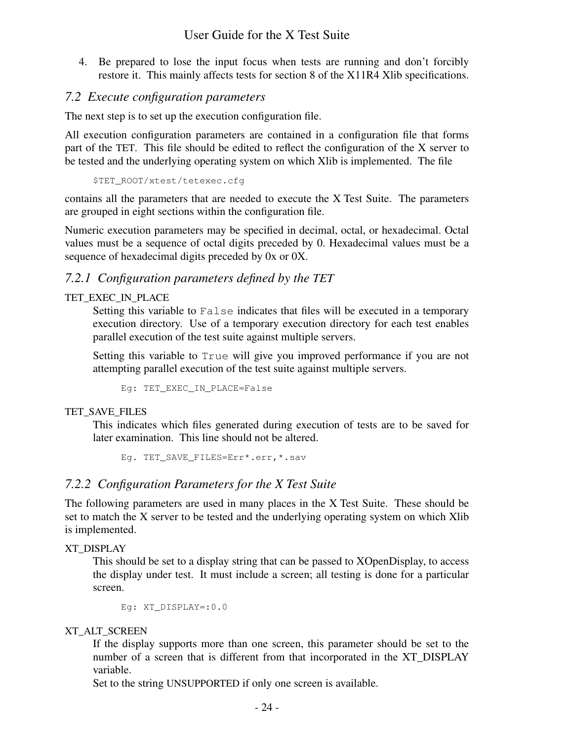4. Be prepared to lose the input focus when tests are running and don't forcibly restore it. This mainly affects tests for section 8 of the X11R4 Xlib specifications.

## *7.2 Execute configuration parameters*

The next step is to set up the execution configuration file.

All execution configuration parameters are contained in a configuration file that forms part of the TET. This file should be edited to reflect the configuration of the X server to be tested and the underlying operating system on which Xlib is implemented. The file

\$TET\_ROOT/xtest/tetexec.cfg

contains all the parameters that are needed to execute the X Test Suite. The parameters are grouped in eight sections within the configuration file.

Numeric execution parameters may be specified in decimal, octal, or hexadecimal. Octal values must be a sequence of octal digits preceded by 0. Hexadecimal values must be a sequence of hexadecimal digits preceded by 0x or 0X.

## *7.2.1 Configuration parameters defined by the TET*

### TET\_EXEC\_IN\_PLACE

Setting this variable to False indicates that files will be executed in a temporary execution directory. Use of a temporary execution directory for each test enables parallel execution of the test suite against multiple servers.

Setting this variable to True will give you improved performance if you are not attempting parallel execution of the test suite against multiple servers.

Eg: TET EXEC IN PLACE=False

### TET SAVE FILES

This indicates which files generated during execution of tests are to be saved for later examination. This line should not be altered.

Eg. TET\_SAVE\_FILES=Err\*.err,\*.sav

## *7.2.2 Configuration Parameters for the X Test Suite*

The following parameters are used in many places in the X Test Suite. These should be set to match the X server to be tested and the underlying operating system on which Xlib is implemented.

### XT\_DISPLAY

This should be set to a display string that can be passed to XOpenDisplay, to access the display under test. It must include a screen; all testing is done for a particular screen.

Eg: XT\_DISPLAY=:0.0

### XT\_ALT\_SCREEN

If the display supports more than one screen, this parameter should be set to the number of a screen that is different from that incorporated in the XT\_DISPLAY variable.

Set to the string UNSUPPORTED if only one screen is available.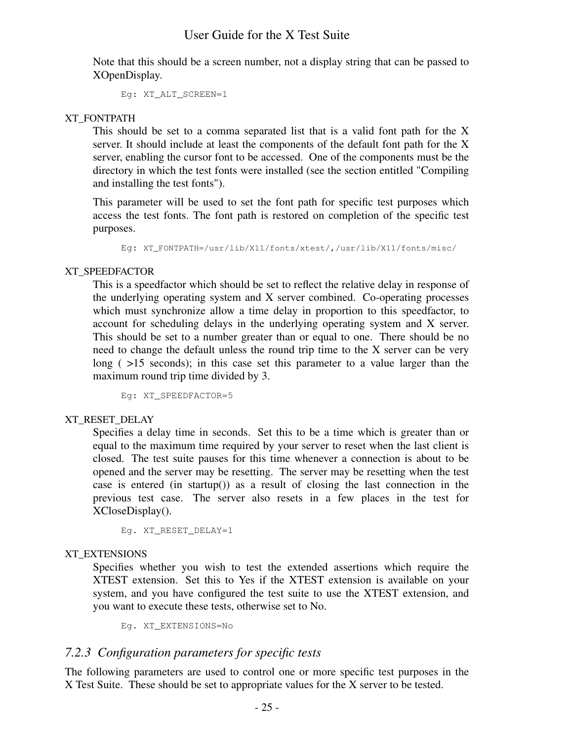Note that this should be a screen number, not a display string that can be passed to XOpenDisplay.

Eg: XT\_ALT\_SCREEN=1

### XT\_FONTPATH

This should be set to a comma separated list that is a valid font path for the X server. It should include at least the components of the default font path for the X server, enabling the cursor font to be accessed. One of the components must be the directory in which the test fonts were installed (see the section entitled "Compiling and installing the test fonts").

This parameter will be used to set the font path for specific test purposes which access the test fonts. The font path is restored on completion of the specific test purposes.

Eg: XT\_FONTPATH=/usr/lib/X11/fonts/xtest/,/usr/lib/X11/fonts/misc/

### XT\_SPEEDFACTOR

This is a speedfactor which should be set to reflect the relative delay in response of the underlying operating system and X server combined. Co-operating processes which must synchronize allow a time delay in proportion to this speedfactor, to account for scheduling delays in the underlying operating system and X server. This should be set to a number greater than or equal to one. There should be no need to change the default unless the round trip time to the X server can be very long ( $>15$  seconds); in this case set this parameter to a value larger than the maximum round trip time divided by 3.

Eg: XT\_SPEEDFACTOR=5

### XT\_RESET\_DELAY

Specifies a delay time in seconds. Set this to be a time which is greater than or equal to the maximum time required by your server to reset when the last client is closed. The test suite pauses for this time whenever a connection is about to be opened and the server may be resetting. The server may be resetting when the test case is entered (in startup()) as a result of closing the last connection in the previous test case. The server also resets in a few places in the test for XCloseDisplay().

Eg. XT\_RESET\_DELAY=1

#### XT\_EXTENSIONS

Specifies whether you wish to test the extended assertions which require the XTEST extension. Set this to Yes if the XTEST extension is available on your system, and you have configured the test suite to use the XTEST extension, and you want to execute these tests, otherwise set to No.

Eg. XT\_EXTENSIONS=No

## *7.2.3 Configuration parameters for specific tests*

The following parameters are used to control one or more specific test purposes in the X Test Suite. These should be set to appropriate values for the X server to be tested.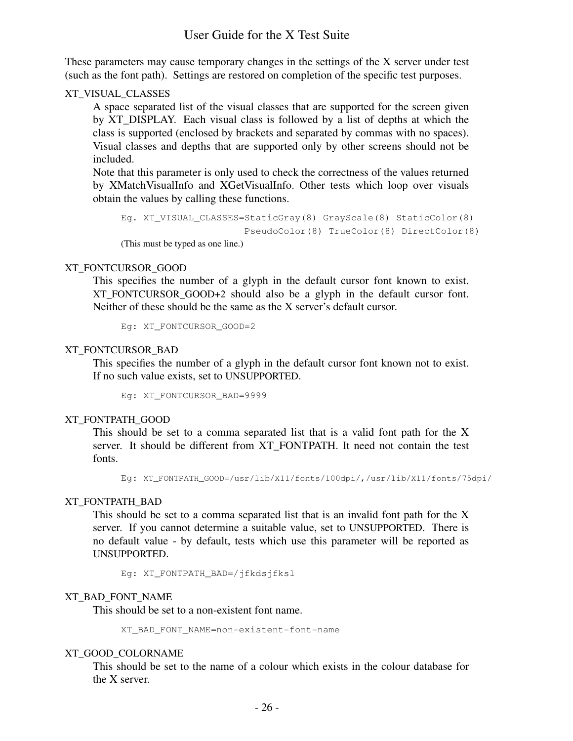These parameters may cause temporary changes in the settings of the X server under test (such as the font path). Settings are restored on completion of the specific test purposes.

#### XT\_VISUAL\_CLASSES

A space separated list of the visual classes that are supported for the screen given by XT\_DISPLAY. Each visual class is followed by a list of depths at which the class is supported (enclosed by brackets and separated by commas with no spaces). Visual classes and depths that are supported only by other screens should not be included.

Note that this parameter is only used to check the correctness of the values returned by XMatchVisualInfo and XGetVisualInfo. Other tests which loop over visuals obtain the values by calling these functions.

```
Eg. XT_VISUAL_CLASSES=StaticGray(8) GrayScale(8) StaticColor(8)
                       PseudoColor(8) TrueColor(8) DirectColor(8)
(This must be typed as one line.)
```
#### XT\_FONTCURSOR\_GOOD

This specifies the number of a glyph in the default cursor font known to exist. XT FONTCURSOR GOOD+2 should also be a glyph in the default cursor font. Neither of these should be the same as the X server's default cursor.

Eg: XT\_FONTCURSOR\_GOOD=2

#### XT\_FONTCURSOR\_BAD

This specifies the number of a glyph in the default cursor font known not to exist. If no such value exists, set to UNSUPPORTED.

Eg: XT\_FONTCURSOR\_BAD=9999

#### XT\_FONTPATH\_GOOD

This should be set to a comma separated list that is a valid font path for the X server. It should be different from XT\_FONTPATH. It need not contain the test fonts.

Eg: XT\_FONTPATH\_GOOD=/usr/lib/X11/fonts/100dpi/,/usr/lib/X11/fonts/75dpi/

#### XT\_FONTPATH\_BAD

This should be set to a comma separated list that is an invalid font path for the X server. If you cannot determine a suitable value, set to UNSUPPORTED. There is no default value - by default, tests which use this parameter will be reported as UNSUPPORTED.

Eg: XT\_FONTPATH\_BAD=/jfkdsjfksl

#### XT\_BAD\_FONT\_NAME

This should be set to a non-existent font name.

XT\_BAD\_FONT\_NAME=non-existent-font-name

#### XT\_GOOD\_COLORNAME

This should be set to the name of a colour which exists in the colour database for the X server.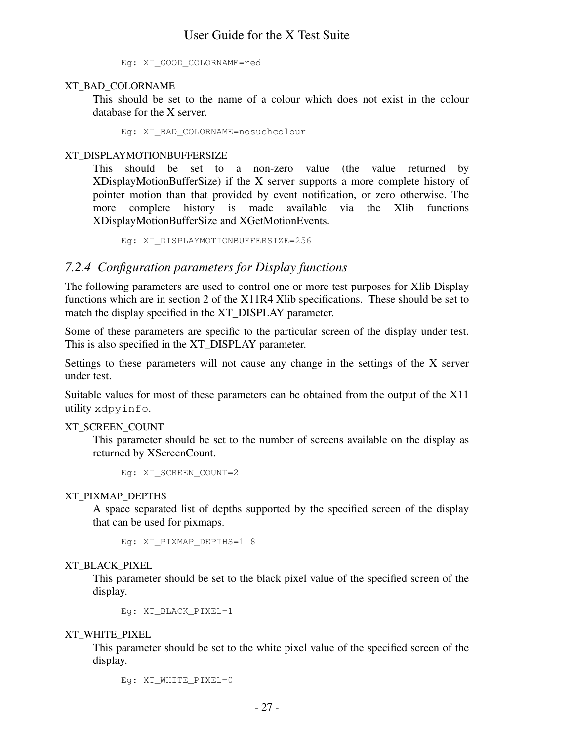Eg: XT\_GOOD\_COLORNAME=red

#### XT\_BAD\_COLORNAME

This should be set to the name of a colour which does not exist in the colour database for the X server.

Eg: XT\_BAD\_COLORNAME=nosuchcolour

#### XT\_DISPLAYMOTIONBUFFERSIZE

This should be set to a non-zero value (the value returned by XDisplayMotionBufferSize) if the X server supports a more complete history of pointer motion than that provided by event notification, or zero otherwise. The more complete history is made available via the Xlib functions XDisplayMotionBufferSize and XGetMotionEvents.

Eg: XT\_DISPLAYMOTIONBUFFERSIZE=256

### *7.2.4 Configuration parameters for Display functions*

The following parameters are used to control one or more test purposes for Xlib Display functions which are in section 2 of the X11R4 Xlib specifications. These should be set to match the display specified in the XT\_DISPLAY parameter.

Some of these parameters are specific to the particular screen of the display under test. This is also specified in the XT\_DISPLAY parameter.

Settings to these parameters will not cause any change in the settings of the X server under test.

Suitable values for most of these parameters can be obtained from the output of the X11 utility xdpyinfo.

XT\_SCREEN\_COUNT

This parameter should be set to the number of screens available on the display as returned by XScreenCount.

```
Eg: XT_SCREEN_COUNT=2
```
#### XT\_PIXMAP\_DEPTHS

A space separated list of depths supported by the specified screen of the display that can be used for pixmaps.

```
Eq: XT_PIXMAP_DEPTHS=1 8
```
#### XT\_BLACK\_PIXEL

This parameter should be set to the black pixel value of the specified screen of the display.

Eg: XT\_BLACK\_PIXEL=1

XT\_WHITE\_PIXEL

This parameter should be set to the white pixel value of the specified screen of the display.

Eg: XT\_WHITE\_PIXEL=0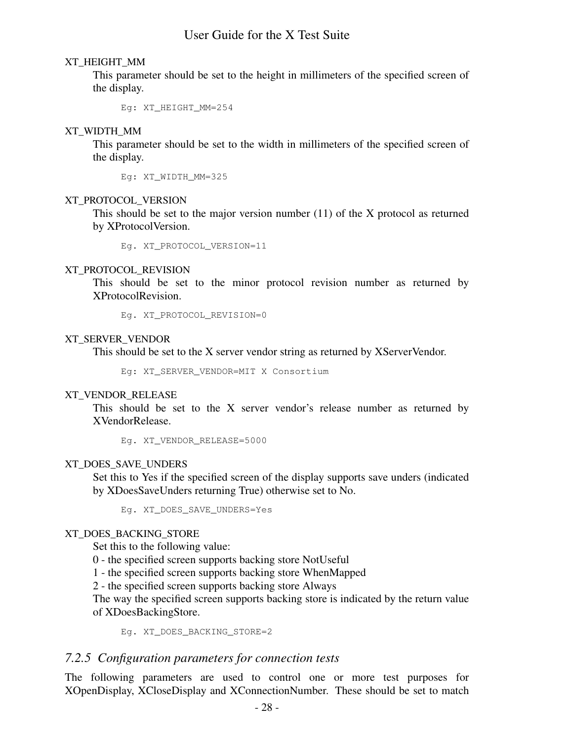#### XT\_HEIGHT\_MM

This parameter should be set to the height in millimeters of the specified screen of the display.

Eg: XT\_HEIGHT\_MM=254

#### XT\_WIDTH\_MM

This parameter should be set to the width in millimeters of the specified screen of the display.

Eg: XT\_WIDTH\_MM=325

#### XT\_PROTOCOL\_VERSION

This should be set to the major version number (11) of the X protocol as returned by XProtocolVersion.

Eg. XT\_PROTOCOL\_VERSION=11

#### XT\_PROTOCOL\_REVISION

This should be set to the minor protocol revision number as returned by XProtocolRevision.

Eg. XT\_PROTOCOL\_REVISION=0

#### XT\_SERVER\_VENDOR

This should be set to the X server vendor string as returned by XServerVendor.

Eg: XT\_SERVER\_VENDOR=MIT X Consortium

#### XT\_VENDOR\_RELEASE

This should be set to the X server vendor's release number as returned by XVendorRelease.

Eg. XT\_VENDOR\_RELEASE=5000

#### XT\_DOES\_SAVE\_UNDERS

Set this to Yes if the specified screen of the display supports save unders (indicated by XDoesSaveUnders returning True) otherwise set to No.

Eg. XT\_DOES\_SAVE\_UNDERS=Yes

#### XT\_DOES\_BACKING\_STORE

Set this to the following value:

0-the specified screen supports backing store NotUseful

1-the specified screen supports backing store WhenMapped

2-the specified screen supports backing store Always

The way the specified screen supports backing store is indicated by the return value of XDoesBackingStore.

Eg. XT\_DOES\_BACKING\_STORE=2

#### *7.2.5 Configuration parameters for connection tests*

The following parameters are used to control one or more test purposes for XOpenDisplay, XCloseDisplay and XConnectionNumber. These should be set to match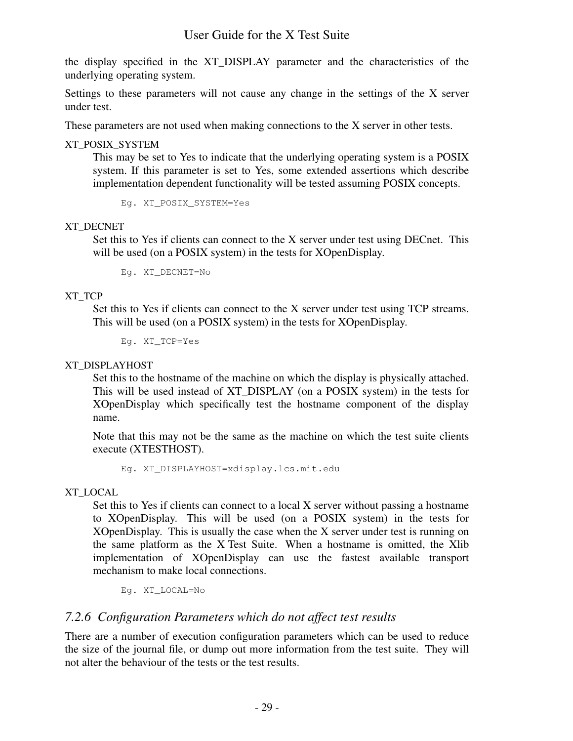the display specified in the XT\_DISPLAY parameter and the characteristics of the underlying operating system.

Settings to these parameters will not cause any change in the settings of the X server under test.

These parameters are not used when making connections to the X server in other tests.

XT\_POSIX\_SYSTEM

This may be set to Yes to indicate that the underlying operating system is a POSIX system. If this parameter is set to Yes, some extended assertions which describe implementation dependent functionality will be tested assuming POSIX concepts.

Eg. XT\_POSIX\_SYSTEM=Yes

#### XT\_DECNET

Set this to Yes if clients can connect to the X server under test using DECnet. This will be used (on a POSIX system) in the tests for XOpenDisplay.

Eg. XT\_DECNET=No

#### XT\_TCP

Set this to Yes if clients can connect to the X server under test using TCP streams. This will be used (on a POSIX system) in the tests for XOpenDisplay.

Eg. XT\_TCP=Yes

#### XT\_DISPLAYHOST

Set this to the hostname of the machine on which the display is physically attached. This will be used instead of XT\_DISPLAY (on a POSIX system) in the tests for XOpenDisplay which specifically test the hostname component of the display name.

Note that this may not be the same as the machine on which the test suite clients execute (XTESTHOST).

Eg. XT\_DISPLAYHOST=xdisplay.lcs.mit.edu

#### XT\_LOCAL

Set this to Yes if clients can connect to a local X server without passing a hostname to XOpenDisplay. This will be used (on a POSIX system) in the tests for XOpenDisplay. This is usually the case when the X server under test is running on the same platform as the X Test Suite. When a hostname is omitted, the Xlib implementation of XOpenDisplay can use the fastest available transport mechanism to make local connections.

Eg. XT\_LOCAL=No

## *7.2.6 Configuration Parameters which do not affect test results*

There are a number of execution configuration parameters which can be used to reduce the size of the journal file, or dump out more information from the test suite. They will not alter the behaviour of the tests or the test results.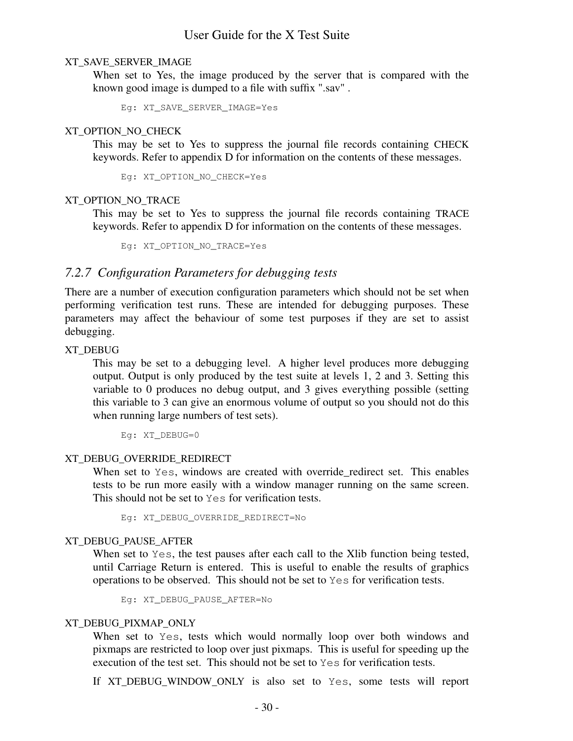#### XT\_SAVE\_SERVER\_IMAGE

When set to Yes, the image produced by the server that is compared with the known good image is dumped to a file with suffix ".sav" .

Eg: XT\_SAVE\_SERVER\_IMAGE=Yes

#### XT\_OPTION\_NO\_CHECK

This may be set to Yes to suppress the journal file records containing CHECK keywords. Refer to appendix D for information on the contents of these messages.

Eg: XT\_OPTION\_NO\_CHECK=Yes

#### XT\_OPTION\_NO\_TRACE

This may be set to Yes to suppress the journal file records containing TRACE keywords. Refer to appendix D for information on the contents of these messages.

Eg: XT\_OPTION\_NO\_TRACE=Yes

### *7.2.7 Configuration Parameters for debugging tests*

There are a number of execution configuration parameters which should not be set when performing verification test runs. These are intended for debugging purposes. These parameters may affect the behaviour of some test purposes if they are set to assist debugging.

#### XT\_DEBUG

This may be set to a debugging level. A higher level produces more debugging output. Output is only produced by the test suite at levels 1, 2 and 3. Setting this variable to 0 produces no debug output, and 3 gives everything possible (setting this variable to 3 can give an enormous volume of output so you should not do this when running large numbers of test sets).

Eg: XT\_DEBUG=0

#### XT\_DEBUG\_OVERRIDE\_REDIRECT

When set to  $Y \in S$ , windows are created with override redirect set. This enables tests to be run more easily with a window manager running on the same screen. This should not be set to Yes for verification tests.

Eg: XT\_DEBUG\_OVERRIDE\_REDIRECT=No

#### XT\_DEBUG\_PAUSE\_AFTER

When set to Yes, the test pauses after each call to the Xlib function being tested, until Carriage Return is entered. This is useful to enable the results of graphics operations to be observed. This should not be set to Yes for verification tests.

Eg: XT\_DEBUG\_PAUSE\_AFTER=No

#### XT\_DEBUG\_PIXMAP\_ONLY

When set to Yes, tests which would normally loop over both windows and pixmaps are restricted to loop over just pixmaps. This is useful for speeding up the execution of the test set. This should not be set to Yes for verification tests.

If XT\_DEBUG\_WINDOW\_ONLY is also set to Yes, some tests will report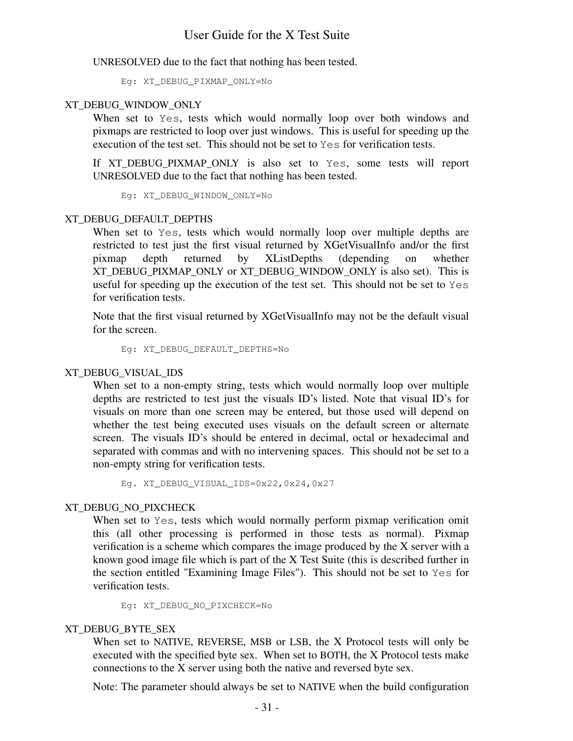UNRESOLVED due to the fact that nothing has been tested.

Eg: XT\_DEBUG\_PIXMAP\_ONLY=No

#### XT\_DEBUG\_WINDOW\_ONLY

When set to Yes, tests which would normally loop over both windows and pixmaps are restricted to loop over just windows. This is useful for speeding up the execution of the test set. This should not be set to Yes for verification tests.

If XT\_DEBUG\_PIXMAP\_ONLY is also set to Yes, some tests will report UNRESOLVED due to the fact that nothing has been tested.

Eg: XT\_DEBUG\_WINDOW\_ONLY=No

#### XT\_DEBUG\_DEFAULT\_DEPTHS

When set to Yes, tests which would normally loop over multiple depths are restricted to test just the first visual returned by XGetVisualInfo and/or the first pixmap depth returned by XListDepths (depending on whether XT\_DEBUG\_PIXMAP\_ONLY or XT\_DEBUG\_WINDOW\_ONLY is also set). This is useful for speeding up the execution of the test set. This should not be set to Yes for verification tests.

Note that the first visual returned by XGetVisualInfo may not be the default visual for the screen.

Eg: XT\_DEBUG\_DEFAULT\_DEPTHS=No

#### XT\_DEBUG\_VISUAL\_IDS

When set to a non-empty string, tests which would normally loop over multiple depths are restricted to test just the visuals ID's listed. Note that visual ID's for visuals on more than one screen may be entered, but those used will depend on whether the test being executed uses visuals on the default screen or alternate screen. The visuals ID's should be entered in decimal, octal or hexadecimal and separated with commas and with no intervening spaces. This should not be set to a non-empty string for verification tests.

Eg. XT\_DEBUG\_VISUAL\_IDS=0x22,0x24,0x27

### XT\_DEBUG\_NO\_PIXCHECK

When set to Yes, tests which would normally perform pixmap verification omit this (all other processing is performed in those tests as normal). Pixmap verification is a scheme which compares the image produced by the X server with a known good image file which is part of the X Test Suite (this is described further in the section entitled "Examining Image Files"). This should not be set to Yes for verification tests.

Eg: XT\_DEBUG\_NO\_PIXCHECK=No

### XT\_DEBUG\_BYTE\_SEX

When set to NATIVE, REVERSE, MSB or LSB, the X Protocol tests will only be executed with the specified byte sex. When set to BOTH, the X Protocol tests make connections to the X server using both the native and reversed byte sex.

Note: The parameter should always be set to NATIVE when the build configuration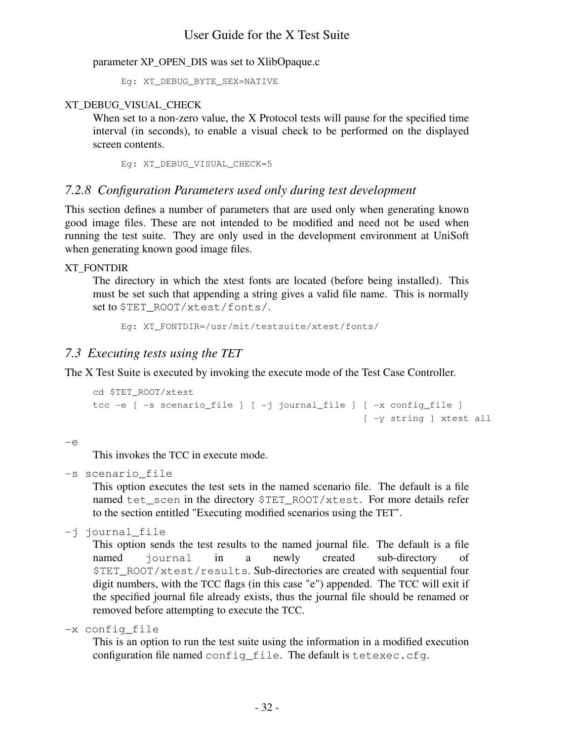parameter XP\_OPEN\_DIS was set to XlibOpaque.c

Eg: XT\_DEBUG\_BYTE\_SEX=NATIVE

### XT\_DEBUG\_VISUAL\_CHECK

When set to a non-zero value, the X Protocol tests will pause for the specified time interval (in seconds), to enable a visual check to be performed on the displayed screen contents.

Eg: XT\_DEBUG\_VISUAL\_CHECK=5

## *7.2.8 Configuration Parameters used only during test development*

This section defines a number of parameters that are used only when generating known good image files. These are not intended to be modified and need not be used when running the test suite. They are only used in the development environment at UniSoft when generating known good image files.

### XT\_FONTDIR

The directory in which the xtest fonts are located (before being installed). This must be set such that appending a string gives a valid file name. This is normally set to \$TET\_ROOT/xtest/fonts/.

Eg: XT\_FONTDIR=/usr/mit/testsuite/xtest/fonts/

## *7.3 Executing tests using the TET*

The X Test Suite is executed by invoking the execute mode of the Test Case Controller.

```
cd $TET_ROOT/xtest
tcc -e [ -s scenario_file ] [ -j journal_file ] [ -x config_file ]
                                                [ -y string ] xtest all
```
 $-e$ 

This invokes the TCC in execute mode.

-s scenario\_file

This option executes the test sets in the named scenario file. The default is a file named tet scen in the directory \$TET\_ROOT/xtest. For more details refer to the section entitled "Executing modified scenarios using the TET".

-j journal\_file

This option sends the test results to the named journal file. The default is a file named journal in a newly created sub-directory of \$TET\_ROOT/xtest/results. Sub-directories are created with sequential four digit numbers, with the TCC flags (in this case "e") appended. The TCC will exit if the specified journal file already exists, thus the journal file should be renamed or removed before attempting to execute the TCC.

-x config\_file

This is an option to run the test suite using the information in a modified execution configuration file named config\_file. The default is tetexec.cfg.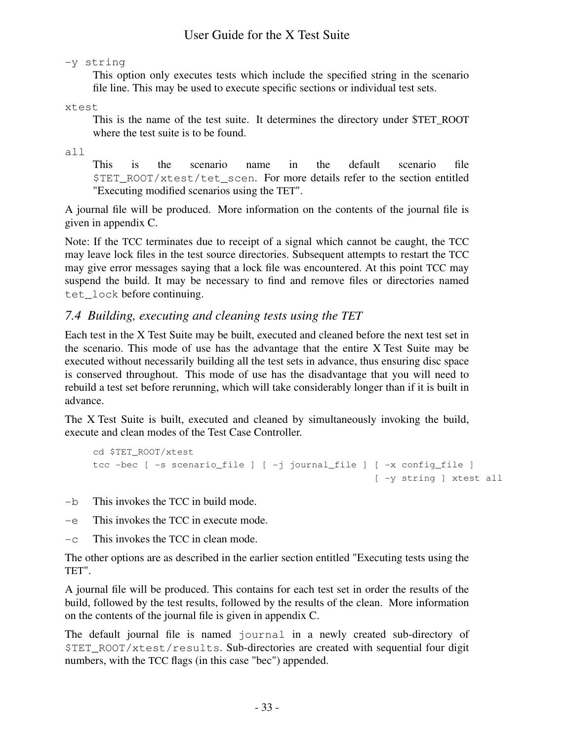-y string

This option only executes tests which include the specified string in the scenario file line. This may be used to execute specific sections or individual test sets.

xtest

This is the name of the test suite. It determines the directory under \$TET\_ROOT where the test suite is to be found.

all

This is the scenario name in the default scenario file \$TET\_ROOT/xtest/tet\_scen. For more details refer to the section entitled "Executing modified scenarios using the TET".

A journal file will be produced. More information on the contents of the journal file is given in appendix C.

Note: If the TCC terminates due to receipt of a signal which cannot be caught, the TCC may leave lock files in the test source directories. Subsequent attempts to restart the TCC may give error messages saying that a lock file was encountered. At this point TCC may suspend the build. It may be necessary to find and remove files or directories named tet lock before continuing.

## *7.4 Building, executing and cleaning tests using the TET*

Each test in the X Test Suite may be built, executed and cleaned before the next test set in the scenario. This mode of use has the advantage that the entire X Test Suite may be executed without necessarily building all the test sets in advance, thus ensuring disc space is conserved throughout. This mode of use has the disadvantage that you will need to rebuild a test set before rerunning, which will take considerably longer than if it is built in advance.

The X Test Suite is built, executed and cleaned by simultaneously invoking the build, execute and clean modes of the Test Case Controller.

```
cd $TET_ROOT/xtest
tcc -bec [ -s scenario_file ] [ -j journal_file ] [ -x config_file ]
                                                  [ -y string ] xtest all
```
-b This invokes the TCC in build mode.

- -e This invokes the TCC in execute mode.
- $-c$  This invokes the TCC in clean mode.

The other options are as described in the earlier section entitled "Executing tests using the TET".

A journal file will be produced. This contains for each test set in order the results of the build, followed by the test results, followed by the results of the clean. More information on the contents of the journal file is given in appendix C.

The default journal file is named journal in a newly created sub-directory of \$TET\_ROOT/xtest/results. Sub-directories are created with sequential four digit numbers, with the TCC flags (in this case "bec") appended.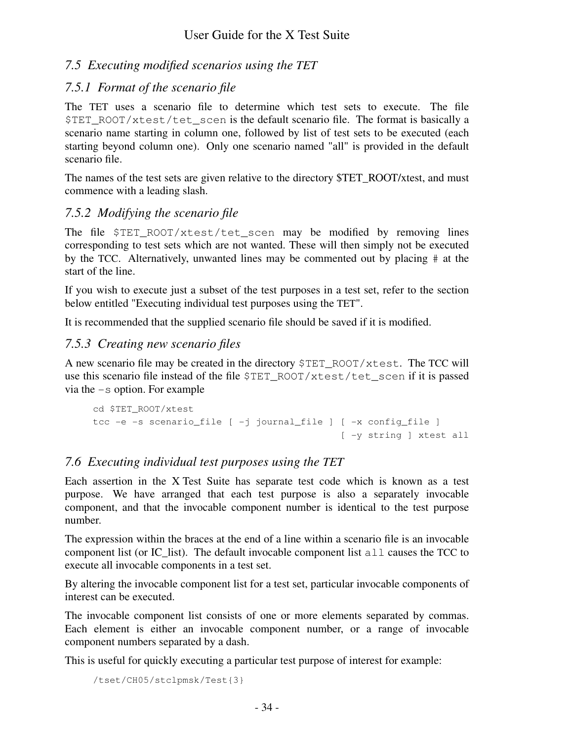# *7.5 Executing modified scenarios using the TET*

## *7.5.1 Format of the scenario file*

The TET uses a scenario file to determine which test sets to execute. The file \$TET\_ROOT/xtest/tet\_scen is the default scenario file. The format is basically a scenario name starting in column one, followed by list of test sets to be executed (each starting beyond column one). Only one scenario named "all" is provided in the default scenario file.

The names of the test sets are given relative to the directory \$TET\_ROOT/xtest, and must commence with a leading slash.

# *7.5.2 Modifying the scenario file*

The file  $STETROOT/xtest/tet$  scen may be modified by removing lines corresponding to test sets which are not wanted. These will then simply not be executed by the TCC. Alternatively, unwanted lines may be commented out by placing # at the start of the line.

If you wish to execute just a subset of the test purposes in a test set, refer to the section below entitled "Executing individual test purposes using the TET".

It is recommended that the supplied scenario file should be saved if it is modified.

# *7.5.3 Creating new scenario files*

A new scenario file may be created in the directory \$TET\_ROOT/xtest. The TCC will use this scenario file instead of the file \$TET\_ROOT/xtest/tet\_scen if it is passed via the -s option. For example

```
cd $TET_ROOT/xtest
tcc -e -s scenario_file [ -j journal_file ] [ -x config_file ]
                                            [ -y string ] xtest all
```
# *7.6 Executing individual test purposes using the TET*

Each assertion in the X Test Suite has separate test code which is known as a test purpose. We have arranged that each test purpose is also a separately invocable component, and that the invocable component number is identical to the test purpose number.

The expression within the braces at the end of a line within a scenario file is an invocable component list (or IC list). The default invocable component list  $a11$  causes the TCC to execute all invocable components in a test set.

By altering the invocable component list for a test set, particular invocable components of interest can be executed.

The invocable component list consists of one or more elements separated by commas. Each element is either an invocable component number, or a range of invocable component numbers separated by a dash.

This is useful for quickly executing a particular test purpose of interest for example:

```
/tset/CH05/stclpmsk/Test{3}
```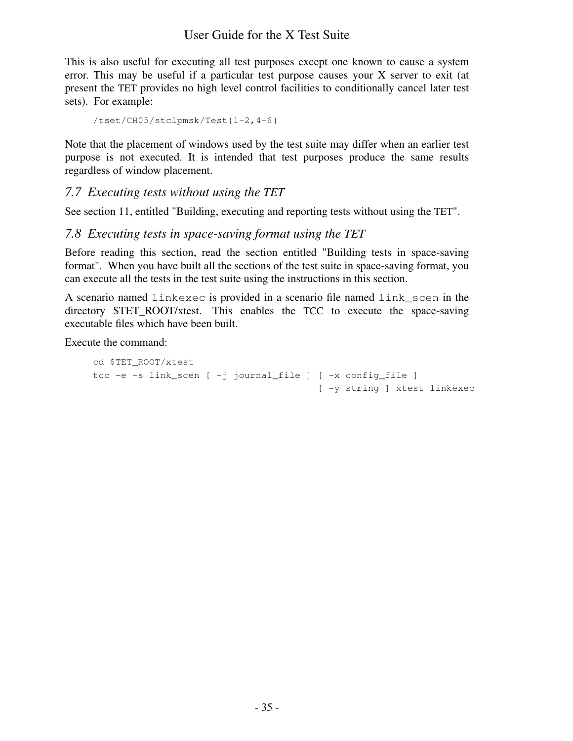This is also useful for executing all test purposes except one known to cause a system error. This may be useful if a particular test purpose causes your X server to exit (at present the TET provides no high level control facilities to conditionally cancel later test sets). For example:

```
/tset/CH05/stclpmsk/Test{1-2,4-6}
```
Note that the placement of windows used by the test suite may differ when an earlier test purpose is not executed. It is intended that test purposes produce the same results regardless of window placement.

## *7.7 Executing tests without using the TET*

See section 11, entitled "Building, executing and reporting tests without using the TET".

## *7.8 Executing tests in space-saving format using the TET*

Before reading this section, read the section entitled "Building tests in space-saving format". When you have built all the sections of the test suite in space-saving format, you can execute all the tests in the test suite using the instructions in this section.

A scenario named linkexec is provided in a scenario file named link\_scen in the directory \$TET\_ROOT/xtest. This enables the TCC to execute the space-saving executable files which have been built.

Execute the command:

```
cd $TET_ROOT/xtest
tcc -e -s link_scen [ -j journal_file ] [ -x config_file ]
                                        [ -y string ] xtest linkexec
```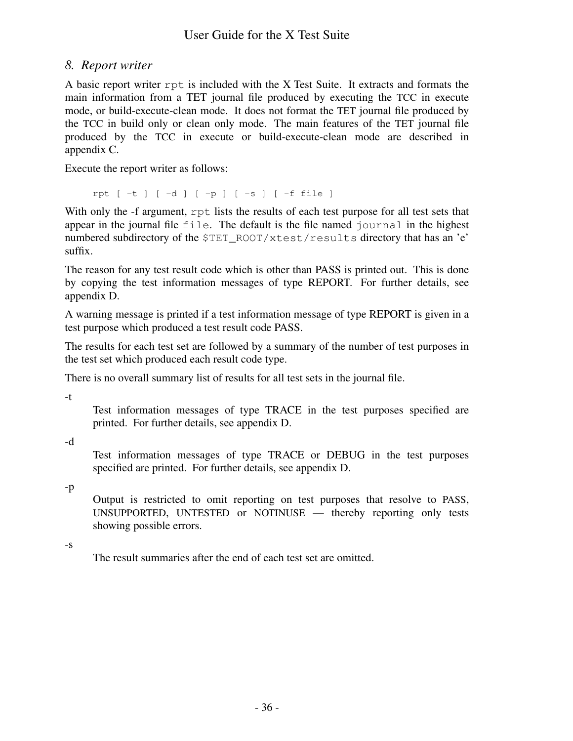## *8. Report writer*

A basic report writer rpt is included with the X Test Suite. It extracts and formats the main information from a TET journal file produced by executing the TCC in execute mode, or build-execute-clean mode. It does not format the TET journal file produced by the TCC in build only or clean only mode. The main features of the TET journal file produced by the TCC in execute or build-execute-clean mode are described in appendix C.

Execute the report writer as follows:

rpt [ -t ] [ -d ] [ -p ] [ -s ] [ -f file ]

With only the -f argument, rpt lists the results of each test purpose for all test sets that appear in the journal file file. The default is the file named journal in the highest numbered subdirectory of the \$TET\_ROOT/xtest/results directory that has an 'e' suffix.

The reason for any test result code which is other than PASS is printed out. This is done by copying the test information messages of type REPORT. For further details, see appendix D.

A warning message is printed if a test information message of type REPORT is given in a test purpose which produced a test result code PASS.

The results for each test set are followed by a summary of the number of test purposes in the test set which produced each result code type.

There is no overall summary list of results for all test sets in the journal file.

-t

Test information messages of type TRACE in the test purposes specified are printed. For further details, see appendix D.

-d

Test information messages of type TRACE or DEBUG in the test purposes specified are printed. For further details, see appendix D.

-p

Output is restricted to omit reporting on test purposes that resolve to PASS, UNSUPPORTED, UNTESTED or NOTINUSE — thereby reporting only tests showing possible errors.

-s

The result summaries after the end of each test set are omitted.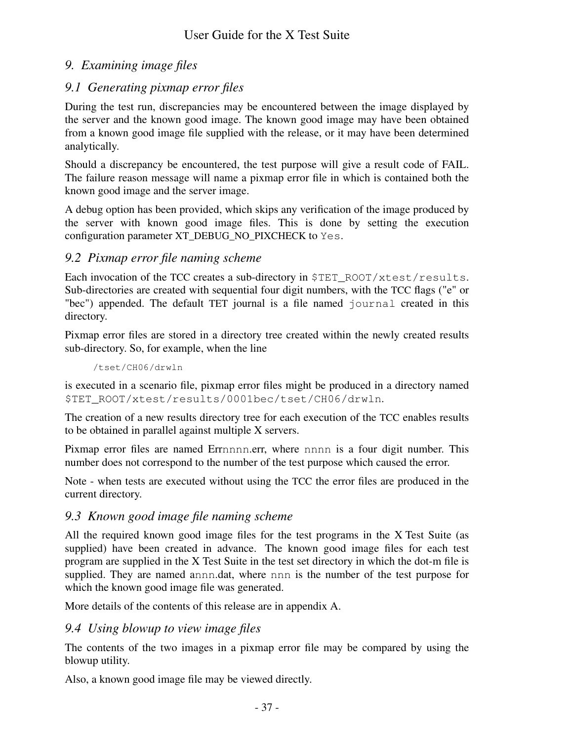# *9. Examining image files*

# *9.1 Generating pixmap error files*

During the test run, discrepancies may be encountered between the image displayed by the server and the known good image. The known good image may have been obtained from a known good image file supplied with the release, or it may have been determined analytically.

Should a discrepancy be encountered, the test purpose will give a result code of FAIL. The failure reason message will name a pixmap error file in which is contained both the known good image and the server image.

A debug option has been provided, which skips any verification of the image produced by the server with known good image files. This is done by setting the execution configuration parameter XT\_DEBUG\_NO\_PIXCHECK to Yes.

## *9.2 Pixmap error file naming scheme*

Each invocation of the TCC creates a sub-directory in \$TET\_ROOT/xtest/results. Sub-directories are created with sequential four digit numbers, with the TCC flags ("e" or "bec") appended. The default TET journal is a file named journal created in this directory.

Pixmap error files are stored in a directory tree created within the newly created results sub-directory. So, for example, when the line

/tset/CH06/drwln

is executed in a scenario file, pixmap error files might be produced in a directory named \$TET\_ROOT/xtest/results/0001bec/tset/CH06/drwln.

The creation of a new results directory tree for each execution of the TCC enables results to be obtained in parallel against multiple X servers.

Pixmap error files are named Errnnnn.err, where nnnn is a four digit number. This number does not correspond to the number of the test purpose which caused the error.

Note - when tests are executed without using the TCC the error files are produced in the current directory.

## *9.3 Known good image file naming scheme*

All the required known good image files for the test programs in the X Test Suite (as supplied) have been created in advance. The known good image files for each test program are supplied in the X Test Suite in the test set directory in which the dot-m file is supplied. They are named annn.dat, where nnn is the number of the test purpose for which the known good image file was generated.

More details of the contents of this release are in appendix A.

## *9.4 Using blowup to view image files*

The contents of the two images in a pixmap error file may be compared by using the blowup utility.

Also, a known good image file may be viewed directly.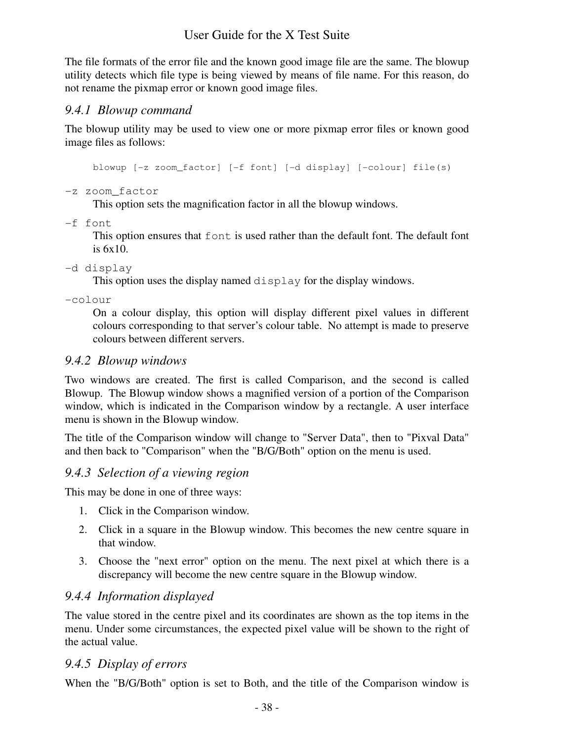The file formats of the error file and the known good image file are the same. The blowup utility detects which file type is being viewed by means of file name. For this reason, do not rename the pixmap error or known good image files.

## *9.4.1 Blowup command*

The blowup utility may be used to view one or more pixmap error files or known good image files as follows:

blowup [-z zoom\_factor] [-f font] [-d display] [-colour] file(s)

-z zoom\_factor

This option sets the magnification factor in all the blowup windows.

-f font

This option ensures that font is used rather than the default font. The default font is 6x10.

### -d display

This option uses the display named display for the display windows.

-colour

On a colour display, this option will display different pixel values in different colours corresponding to that server's colour table. No attempt is made to preserve colours between different servers.

## *9.4.2 Blowup windows*

Two windows are created. The first is called Comparison, and the second is called Blowup. The Blowup window shows a magnified version of a portion of the Comparison window, which is indicated in the Comparison window by a rectangle. A user interface menu is shown in the Blowup window.

The title of the Comparison window will change to "Server Data", then to "Pixval Data" and then back to "Comparison" when the "B/G/Both" option on the menu is used.

## *9.4.3 Selection of a viewing region*

This may be done in one of three ways:

- 1. Click in the Comparison window.
- 2. Click in a square in the Blowup window. This becomes the new centre square in that window.
- 3. Choose the "next error" option on the menu. The next pixel at which there is a discrepancy will become the new centre square in the Blowup window.

## *9.4.4 Information displayed*

The value stored in the centre pixel and its coordinates are shown as the top items in the menu. Under some circumstances, the expected pixel value will be shown to the right of the actual value.

## *9.4.5 Display of errors*

When the "B/G/Both" option is set to Both, and the title of the Comparison window is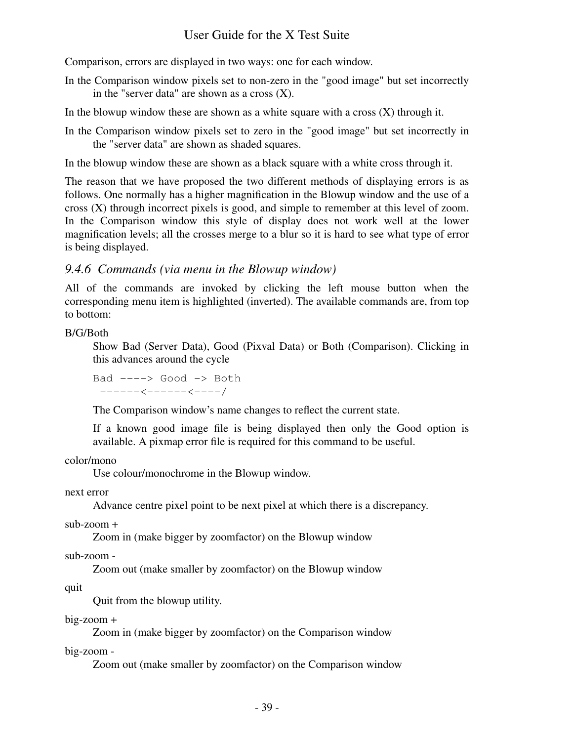Comparison, errors are displayed in two ways: one for each window.

- In the Comparison window pixels set to non-zero in the "good image" but set incorrectly in the "server data" are shown as a cross  $(X)$ .
- In the blowup window these are shown as a white square with a cross  $(X)$  through it.
- In the Comparison window pixels set to zero in the "good image" but set incorrectly in the "server data" are shown as shaded squares.

In the blowup window these are shown as a black square with a white cross through it.

The reason that we have proposed the two different methods of displaying errors is as follows. One normally has a higher magnification in the Blowup window and the use of a cross (X) through incorrect pixels is good, and simple to remember at this level of zoom. In the Comparison window this style of display does not work well at the lower magnification levels; all the crosses merge to a blur so it is hard to see what type of error is being displayed.

### *9.4.6 Commands (via menu in the Blowup window)*

All of the commands are invoked by clicking the left mouse button when the corresponding menu item is highlighted (inverted). The available commands are, from top to bottom:

#### B/G/Both

Show Bad (Server Data), Good (Pixval Data) or Both (Comparison). Clicking in this advances around the cycle

```
Bad ---> Good -> Both
−-----<------<----/
```
The Comparison window's name changes to reflect the current state.

If a known good image file is being displayed then only the Good option is available. A pixmap error file is required for this command to be useful.

color/mono

Use colour/monochrome in the Blowup window.

next error

Advance centre pixel point to be next pixel at which there is a discrepancy.

sub-zoom +

Zoom in (make bigger by zoomfactor) on the Blowup window

sub-zoom -

Zoom out (make smaller by zoomfactor) on the Blowup window

quit

Quit from the blowup utility.

#### big-zoom +

Zoom in (make bigger by zoomfactor) on the Comparison window

big-zoom -

Zoom out (make smaller by zoomfactor) on the Comparison window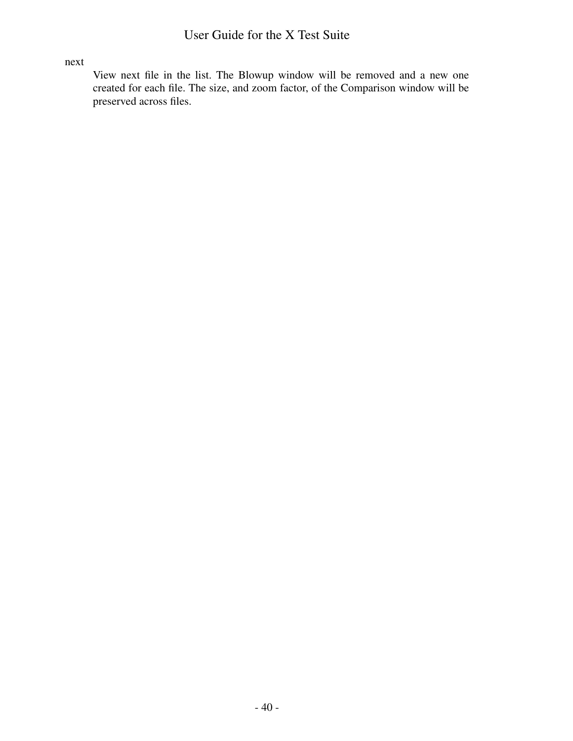#### next

View next file in the list. The Blowup window will be removed and a new one created for each file. The size, and zoom factor, of the Comparison window will be preserved across files.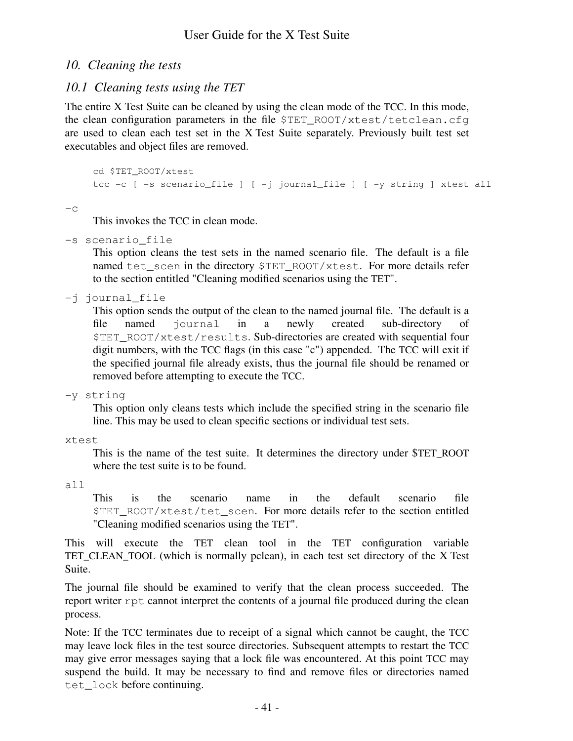## *10. Cleaning the tests*

## *10.1 Cleaning tests using the TET*

The entire X Test Suite can be cleaned by using the clean mode of the TCC. In this mode, the clean configuration parameters in the file  $\S$ TET\_ROOT/xtest/tetclean.cfg are used to clean each test set in the X Test Suite separately. Previously built test set executables and object files are removed.

```
cd $TET_ROOT/xtest
tcc -c [ -s scenario_file ] [ -j journal_file ] [ -y string ] xtest all
```
 $-c$ 

This invokes the TCC in clean mode.

-s scenario\_file

This option cleans the test sets in the named scenario file. The default is a file named tet\_scen in the directory \$TET\_ROOT/xtest. For more details refer to the section entitled "Cleaning modified scenarios using the TET".

-j journal\_file

This option sends the output of the clean to the named journal file. The default is a file named journal in a newly created sub-directory of \$TET\_ROOT/xtest/results. Sub-directories are created with sequential four digit numbers, with the TCC flags (in this case "c") appended. The TCC will exit if the specified journal file already exists, thus the journal file should be renamed or removed before attempting to execute the TCC.

-y string

This option only cleans tests which include the specified string in the scenario file line. This may be used to clean specific sections or individual test sets.

xtest

This is the name of the test suite. It determines the directory under \$TET\_ROOT where the test suite is to be found.

all

This is the scenario name in the default scenario file \$TET\_ROOT/xtest/tet\_scen. For more details refer to the section entitled "Cleaning modified scenarios using the TET".

This will execute the TET clean tool in the TET configuration variable TET\_CLEAN\_TOOL (which is normally pclean), in each test set directory of the X Test Suite.

The journal file should be examined to verify that the clean process succeeded. The report writer rpt cannot interpret the contents of a journal file produced during the clean process.

Note: If the TCC terminates due to receipt of a signal which cannot be caught, the TCC may leave lock files in the test source directories. Subsequent attempts to restart the TCC may give error messages saying that a lock file was encountered. At this point TCC may suspend the build. It may be necessary to find and remove files or directories named tet\_lock before continuing.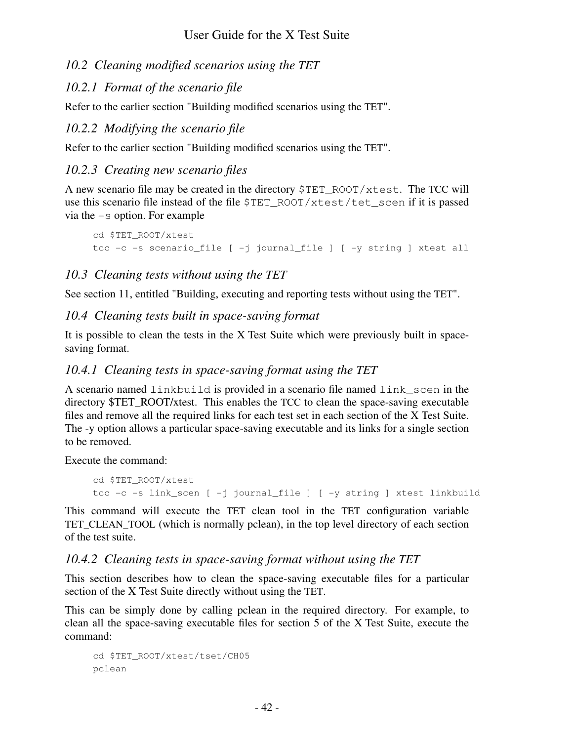## *10.2 Cleaning modified scenarios using the TET*

# *10.2.1 Format of the scenario file*

Refer to the earlier section "Building modified scenarios using the TET".

# *10.2.2 Modifying the scenario file*

Refer to the earlier section "Building modified scenarios using the TET".

# *10.2.3 Creating new scenario files*

A new scenario file may be created in the directory \$TET\_ROOT/xtest. The TCC will use this scenario file instead of the file \$TET\_ROOT/xtest/tet\_scen if it is passed via the -s option. For example

```
cd $TET_ROOT/xtest
tcc -c -s scenario_file [ -j journal_file ] [ -y string ] xtest all
```
# *10.3 Cleaning tests without using the TET*

See section 11, entitled "Building, executing and reporting tests without using the TET".

# *10.4 Cleaning tests built in space-saving format*

It is possible to clean the tests in the X Test Suite which were previously built in spacesaving format.

# *10.4.1 Cleaning tests in space-saving format using the TET*

A scenario named linkbuild is provided in a scenario file named link\_scen in the directory \$TET\_ROOT/xtest. This enables the TCC to clean the space-saving executable files and remove all the required links for each test set in each section of the X Test Suite. The -y option allows a particular space-saving executable and its links for a single section to be removed.

Execute the command:

```
cd $TET_ROOT/xtest
tcc -c -s link_scen [ -j journal_file ] [ -y string ] xtest linkbuild
```
This command will execute the TET clean tool in the TET configuration variable TET\_CLEAN\_TOOL (which is normally pclean), in the top level directory of each section of the test suite.

## *10.4.2 Cleaning tests in space-saving format without using the TET*

This section describes how to clean the space-saving executable files for a particular section of the X Test Suite directly without using the TET.

This can be simply done by calling pclean in the required directory. For example, to clean all the space-saving executable files for section 5 of the X Test Suite, execute the command:

```
cd $TET_ROOT/xtest/tset/CH05
pclean
```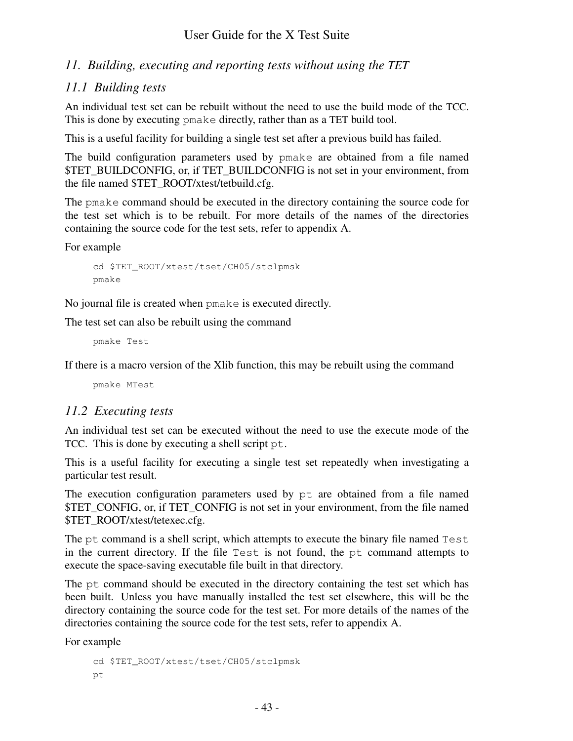## *11. Building, executing and reporting tests without using the TET*

## *11.1 Building tests*

An individual test set can be rebuilt without the need to use the build mode of the TCC. This is done by executing pmake directly, rather than as a TET build tool.

This is a useful facility for building a single test set after a previous build has failed.

The build configuration parameters used by pmake are obtained from a file named \$TET\_BUILDCONFIG, or, if TET\_BUILDCONFIG is not set in your environment, from the file named \$TET\_ROOT/xtest/tetbuild.cfg.

The pmake command should be executed in the directory containing the source code for the test set which is to be rebuilt. For more details of the names of the directories containing the source code for the test sets, refer to appendix A.

For example

```
cd $TET_ROOT/xtest/tset/CH05/stclpmsk
pmake
```
No journal file is created when pmake is executed directly.

The test set can also be rebuilt using the command

pmake Test

If there is a macro version of the Xlib function, this may be rebuilt using the command

pmake MTest

## *11.2 Executing tests*

An individual test set can be executed without the need to use the execute mode of the TCC. This is done by executing a shell script pt.

This is a useful facility for executing a single test set repeatedly when investigating a particular test result.

The execution configuration parameters used by pt are obtained from a file named \$TET\_CONFIG, or, if TET\_CONFIG is not set in your environment, from the file named \$TET\_ROOT/xtest/tetexec.cfg.

The pt command is a shell script, which attempts to execute the binary file named Test in the current directory. If the file Test is not found, the pt command attempts to execute the space-saving executable file built in that directory.

The pt command should be executed in the directory containing the test set which has been built. Unless you have manually installed the test set elsewhere, this will be the directory containing the source code for the test set. For more details of the names of the directories containing the source code for the test sets, refer to appendix A.

For example

```
cd $TET_ROOT/xtest/tset/CH05/stclpmsk
pt
```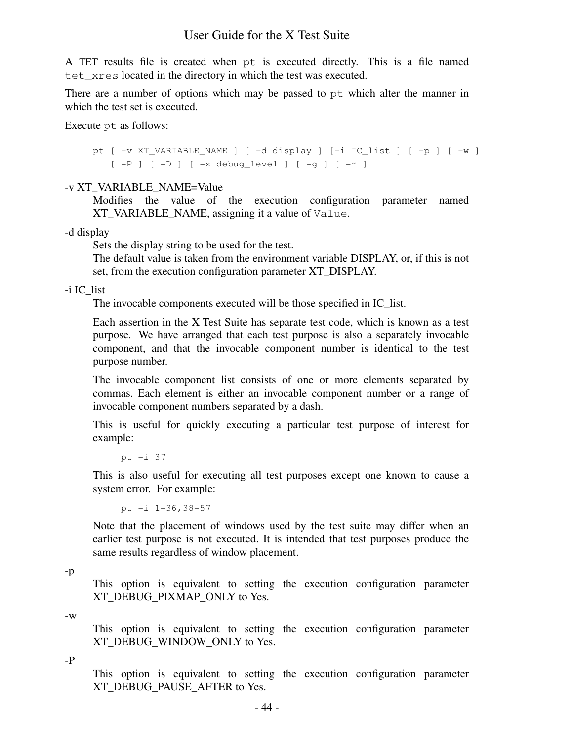A TET results file is created when pt is executed directly. This is a file named tet xres located in the directory in which the test was executed.

There are a number of options which may be passed to pt which alter the manner in which the test set is executed.

Execute pt as follows:

pt [ -v XT\_VARIABLE\_NAME ] [ -d display ] [-i IC\_list ] [ -p ] [ -w ]  $[-P]$   $[-D]$   $[-x$  debug level  $[-q]$   $[-m]$ 

#### -v XT\_VARIABLE\_NAME=Value

Modifies the value of the execution configuration parameter named XT\_VARIABLE\_NAME, assigning it a value of Value.

-d display

Sets the display string to be used for the test.

The default value is taken from the environment variable DISPLAY, or, if this is not set, from the execution configuration parameter XT\_DISPLAY.

-i IC\_list

The invocable components executed will be those specified in IC\_list.

Each assertion in the X Test Suite has separate test code, which is known as a test purpose. We have arranged that each test purpose is also a separately invocable component, and that the invocable component number is identical to the test purpose number.

The invocable component list consists of one or more elements separated by commas. Each element is either an invocable component number or a range of invocable component numbers separated by a dash.

This is useful for quickly executing a particular test purpose of interest for example:

pt -i 37

This is also useful for executing all test purposes except one known to cause a system error. For example:

pt -i 1-36,38-57

Note that the placement of windows used by the test suite may differ when an earlier test purpose is not executed. It is intended that test purposes produce the same results regardless of window placement.

This option is equivalent to setting the execution configuration parameter XT\_DEBUG\_PIXMAP\_ONLY to Yes.

-w

This option is equivalent to setting the execution configuration parameter XT\_DEBUG\_WINDOW\_ONLY to Yes.

-P

This option is equivalent to setting the execution configuration parameter XT\_DEBUG\_PAUSE\_AFTER to Yes.

<sup>-</sup>p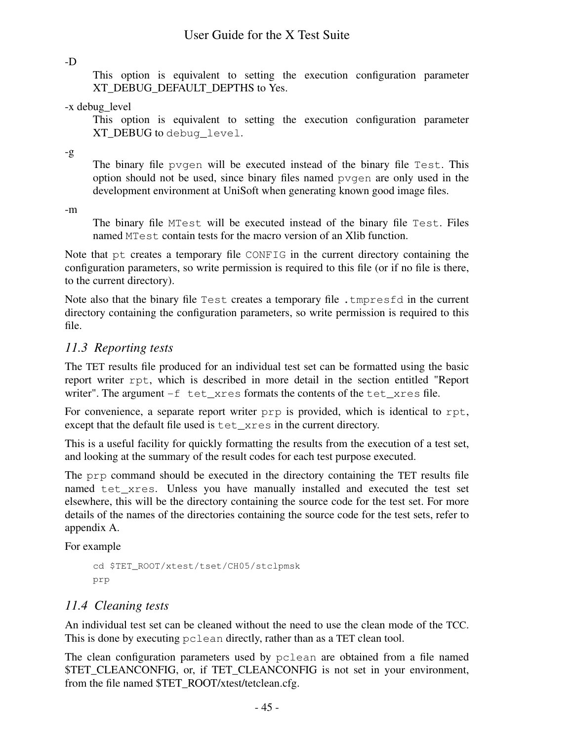-D

This option is equivalent to setting the execution configuration parameter XT\_DEBUG\_DEFAULT\_DEPTHS to Yes.

-x debug level

This option is equivalent to setting the execution configuration parameter XT\_DEBUG to debug\_level.

-g

The binary file pvgen will be executed instead of the binary file Test. This option should not be used, since binary files named pvgen are only used in the development environment at UniSoft when generating known good image files.

-m

The binary file MTest will be executed instead of the binary file Test. Files named MTest contain tests for the macro version of an Xlib function.

Note that pt creates a temporary file CONFIG in the current directory containing the configuration parameters, so write permission is required to this file (or if no file is there, to the current directory).

Note also that the binary file Test creates a temporary file . tmpresfd in the current directory containing the configuration parameters, so write permission is required to this file.

# *11.3 Reporting tests*

The TET results file produced for an individual test set can be formatted using the basic report writer rpt, which is described in more detail in the section entitled "Report writer". The argument  $-f$  tet xres formats the contents of the tet xres file.

For convenience, a separate report writer prp is provided, which is identical to rpt, except that the default file used is tet\_xres in the current directory.

This is a useful facility for quickly formatting the results from the execution of a test set, and looking at the summary of the result codes for each test purpose executed.

The prp command should be executed in the directory containing the TET results file named tet\_xres. Unless you have manually installed and executed the test set elsewhere, this will be the directory containing the source code for the test set. For more details of the names of the directories containing the source code for the test sets, refer to appendix A.

For example

```
cd $TET_ROOT/xtest/tset/CH05/stclpmsk
prp
```
# *11.4 Cleaning tests*

An individual test set can be cleaned without the need to use the clean mode of the TCC. This is done by executing pclean directly, rather than as a TET clean tool.

The clean configuration parameters used by pclean are obtained from a file named \$TET\_CLEANCONFIG, or, if TET\_CLEANCONFIG is not set in your environment, from the file named \$TET\_ROOT/xtest/tetclean.cfg.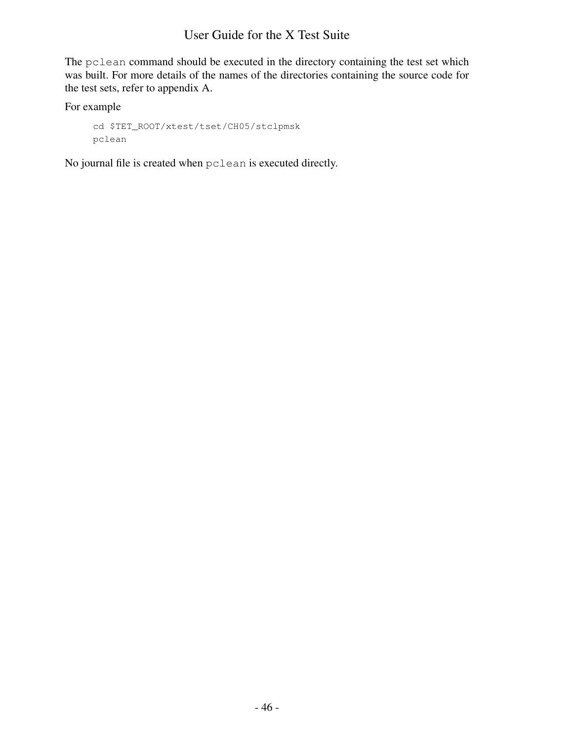The pclean command should be executed in the directory containing the test set which was built. For more details of the names of the directories containing the source code for the test sets, refer to appendix A.

For example

```
cd $TET_ROOT/xtest/tset/CH05/stclpmsk
pclean
```
No journal file is created when pclean is executed directly.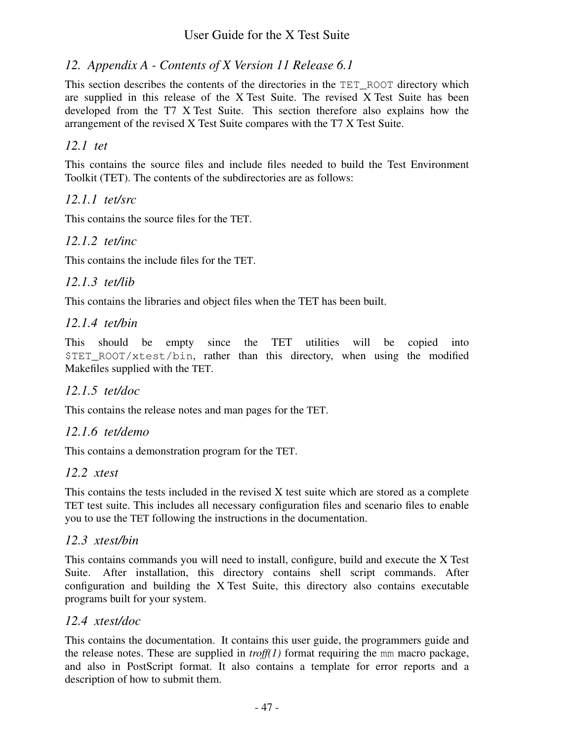## *12. Appendix A-Contents of X Version 11 Release 6.1*

This section describes the contents of the directories in the TET\_ROOT directory which are supplied in this release of the X Test Suite. The revised X Test Suite has been developed from the T7 X Test Suite. This section therefore also explains how the arrangement of the revised X Test Suite compares with the T7 X Test Suite.

## *12.1 tet*

This contains the source files and include files needed to build the Test Environment Toolkit (TET). The contents of the subdirectories are as follows:

## *12.1.1 tet/src*

This contains the source files for the TET.

## *12.1.2 tet/inc*

This contains the include files for the TET.

## *12.1.3 tet/lib*

This contains the libraries and object files when the TET has been built.

## *12.1.4 tet/bin*

This should be empty since the TET utilities will be copied into \$TET\_ROOT/xtest/bin, rather than this directory, when using the modified Makefiles supplied with the TET.

## *12.1.5 tet/doc*

This contains the release notes and man pages for the TET.

## *12.1.6 tet/demo*

This contains a demonstration program for the TET.

## *12.2 xtest*

This contains the tests included in the revised X test suite which are stored as a complete TET test suite. This includes all necessary configuration files and scenario files to enable you to use the TET following the instructions in the documentation.

## *12.3 xtest/bin*

This contains commands you will need to install, configure, build and execute the X Test Suite. After installation, this directory contains shell script commands. After configuration and building the X Test Suite, this directory also contains executable programs built for your system.

## *12.4 xtest/doc*

This contains the documentation. It contains this user guide, the programmers guide and the release notes. These are supplied in *troff(1)* format requiring the mm macro package, and also in PostScript format. It also contains a template for error reports and a description of how to submit them.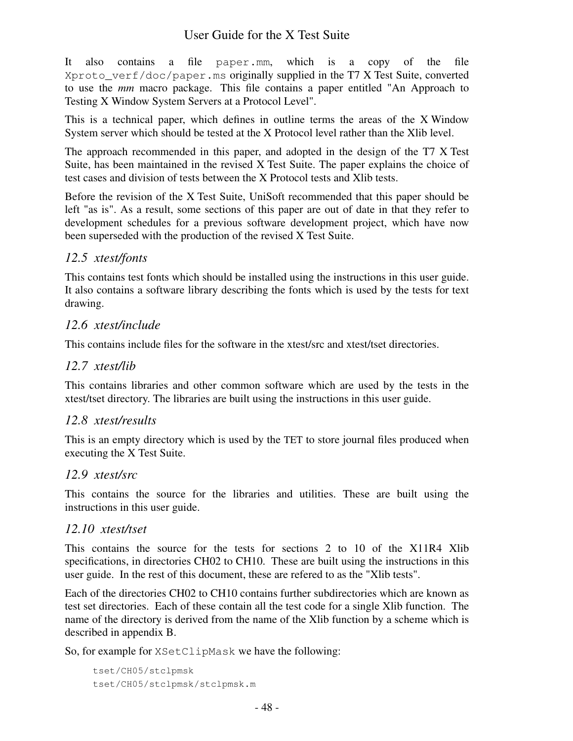It also contains a file paper.mm, which is a copy of the file Xproto\_verf/doc/paper.ms originally supplied in the T7 X Test Suite, converted to use the *mm* macro package. This file contains a paper entitled "An Approach to Testing X Window System Servers at a Protocol Level".

This is a technical paper, which defines in outline terms the areas of the X Window System server which should be tested at the X Protocol level rather than the Xlib level.

The approach recommended in this paper, and adopted in the design of the T7 X Test Suite, has been maintained in the revised X Test Suite. The paper explains the choice of test cases and division of tests between the X Protocol tests and Xlib tests.

Before the revision of the X Test Suite, UniSoft recommended that this paper should be left "as is". As a result, some sections of this paper are out of date in that they refer to development schedules for a previous software development project, which have now been superseded with the production of the revised X Test Suite.

## *12.5 xtest/fonts*

This contains test fonts which should be installed using the instructions in this user guide. It also contains a software library describing the fonts which is used by the tests for text drawing.

## *12.6 xtest/include*

This contains include files for the software in the xtest/src and xtest/tset directories.

## *12.7 xtest/lib*

This contains libraries and other common software which are used by the tests in the xtest/tset directory. The libraries are built using the instructions in this user guide.

## *12.8 xtest/results*

This is an empty directory which is used by the TET to store journal files produced when executing the X Test Suite.

## *12.9 xtest/src*

This contains the source for the libraries and utilities. These are built using the instructions in this user guide.

## *12.10 xtest/tset*

This contains the source for the tests for sections 2 to 10 of the X11R4 Xlib specifications, in directories CH02 to CH10. These are built using the instructions in this user guide. In the rest of this document, these are refered to as the "Xlib tests".

Each of the directories CH02 to CH10 contains further subdirectories which are known as test set directories. Each of these contain all the test code for a single Xlib function. The name of the directory is derived from the name of the Xlib function by a scheme which is described in appendix B.

So, for example for XSetClipMask we have the following:

```
tset/CH05/stclpmsk
tset/CH05/stclpmsk/stclpmsk.m
```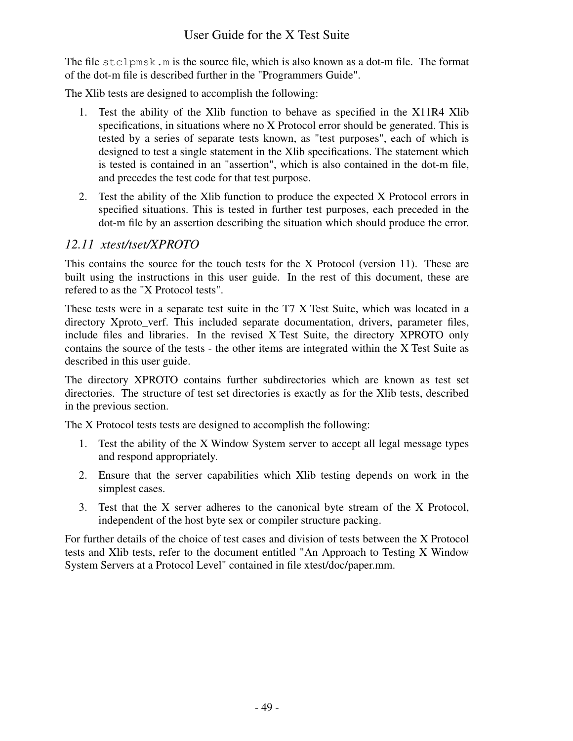The file stclpmsk.m is the source file, which is also known as a dot-m file. The format of the dot-m file is described further in the "Programmers Guide".

The Xlib tests are designed to accomplish the following:

- 1. Test the ability of the Xlib function to behave as specified in the X11R4 Xlib specifications, in situations where no X Protocol error should be generated. This is tested by a series of separate tests known, as "test purposes", each of which is designed to test a single statement in the Xlib specifications. The statement which is tested is contained in an "assertion", which is also contained in the dot-m file, and precedes the test code for that test purpose.
- 2. Test the ability of the Xlib function to produce the expected X Protocol errors in specified situations. This is tested in further test purposes, each preceded in the dot-m file by an assertion describing the situation which should produce the error.

## *12.11 xtest/tset/XPROT O*

This contains the source for the touch tests for the X Protocol (version 11). These are built using the instructions in this user guide. In the rest of this document, these are refered to as the "X Protocol tests".

These tests were in a separate test suite in the T7 X Test Suite, which was located in a directory Xproto\_verf. This included separate documentation, drivers, parameter files, include files and libraries. In the revised X Test Suite, the directory XPROTO only contains the source of the tests - the other items are integrated within the X Test Suite as described in this user guide.

The directory XPROTO contains further subdirectories which are known as test set directories. The structure of test set directories is exactly as for the Xlib tests, described in the previous section.

The X Protocol tests tests are designed to accomplish the following:

- 1. Test the ability of the X Window System server to accept all legal message types and respond appropriately.
- 2. Ensure that the server capabilities which Xlib testing depends on work in the simplest cases.
- 3. Test that the X server adheres to the canonical byte stream of the X Protocol, independent of the host byte sex or compiler structure packing.

For further details of the choice of test cases and division of tests between the X Protocol tests and Xlib tests, refer to the document entitled "An Approach to Testing X Window System Servers at a Protocol Level" contained in file xtest/doc/paper.mm.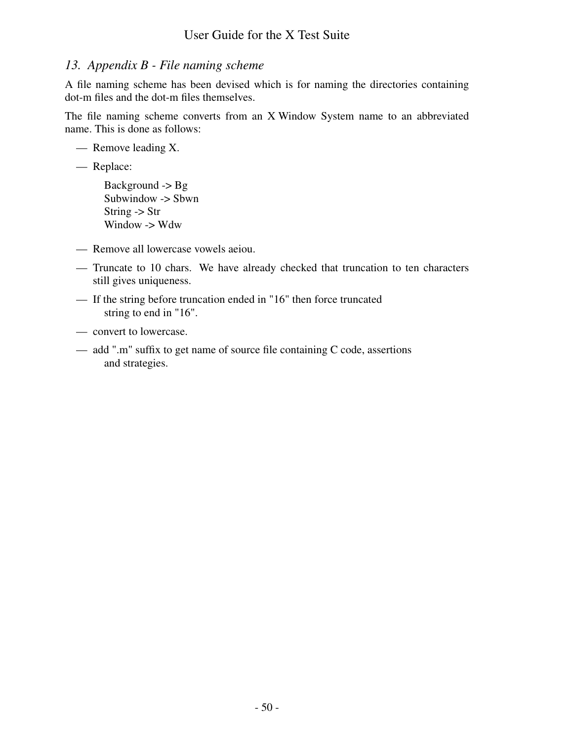# *13. Appendix B-File naming scheme*

A file naming scheme has been devised which is for naming the directories containing dot-m files and the dot-m files themselves.

The file naming scheme converts from an X Window System name to an abbreviated name. This is done as follows:

— Remove leading X.

— Replace:

- Background -> Bg Subwindow -> Sbwn String -> Str Window -> Wdw
- Remove all lowercase vowels aeiou.
- Truncate to 10 chars. We have already checked that truncation to ten characters still gives uniqueness.
- If the string before truncation ended in "16" then force truncated string to end in "16".
- convert to lowercase.
- add ".m" suffix to get name of source file containing C code, assertions and strategies.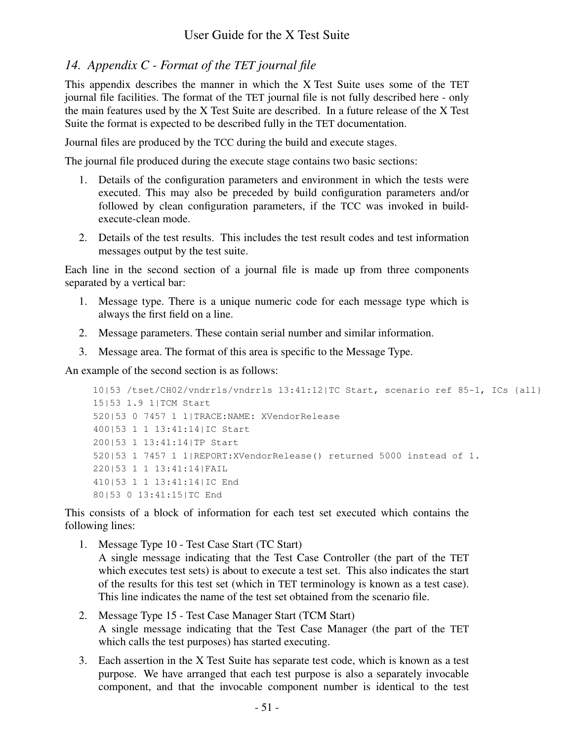## *14. Appendix C-Format of the TET journal file*

This appendix describes the manner in which the X Test Suite uses some of the TET journal file facilities. The format of the TET journal file is not fully described here - only the main features used by the X Test Suite are described. In a future release of the X Test Suite the format is expected to be described fully in the TET documentation.

Journal files are produced by the TCC during the build and execute stages.

The journal file produced during the execute stage contains two basic sections:

- 1. Details of the configuration parameters and environment in which the tests were executed. This may also be preceded by build configuration parameters and/or followed by clean configuration parameters, if the TCC was invoked in buildexecute-clean mode.
- 2. Details of the test results. This includes the test result codes and test information messages output by the test suite.

Each line in the second section of a journal file is made up from three components separated by a vertical bar:

- 1. Message type. There is a unique numeric code for each message type which is always the first field on a line.
- 2. Message parameters. These contain serial number and similar information.
- 3. Message area. The format of this area is specific to the Message Type.

An example of the second section is as follows:

```
10|53 /tset/CH02/vndrrls/vndrrls 13:41:12|TC Start, scenario ref 85-1, ICs {all}
15|53 1.9 1|TCM Start
520|53 0 7457 1 1|TRACE:NAME: XVendorRelease
400|53 1 1 13:41:14|IC Start
200|53 1 13:41:14|TP Start
520|53 1 7457 1 1|REPORT:XVendorRelease() returned 5000 instead of 1.
220|53 1 1 13:41:14|FAIL
410|53 1 1 13:41:14|IC End
80|53 0 13:41:15|TC End
```
This consists of a block of information for each test set executed which contains the following lines:

- 1. Message Type 10 Test Case Start (TC Start) A single message indicating that the Test Case Controller (the part of the TET which executes test sets) is about to execute a test set. This also indicates the start of the results for this test set (which in TET terminology is known as a test case). This line indicates the name of the test set obtained from the scenario file.
- 2. Message Type 15 Test Case Manager Start (TCM Start) A single message indicating that the Test Case Manager (the part of the TET which calls the test purposes) has started executing.
- 3. Each assertion in the X Test Suite has separate test code, which is known as a test purpose. We have arranged that each test purpose is also a separately invocable component, and that the invocable component number is identical to the test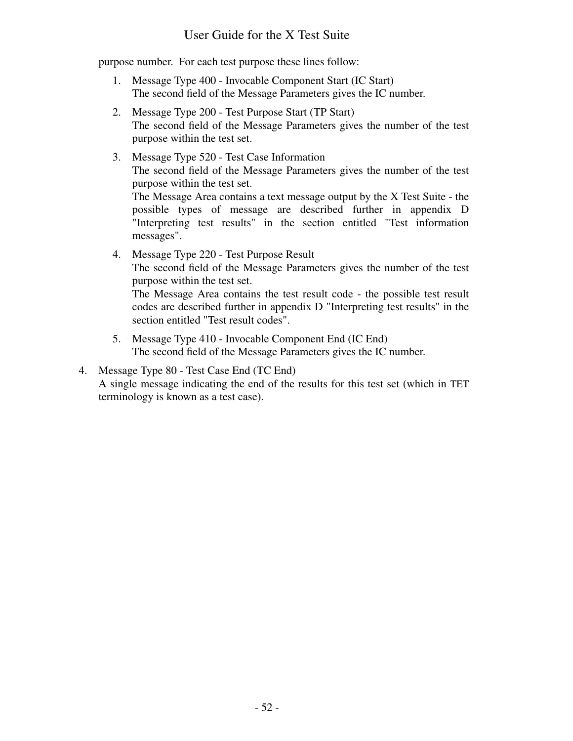purpose number. For each test purpose these lines follow:

- 1. Message Type 400 Invocable Component Start (IC Start) The second field of the Message Parameters gives the IC number.
- 2. Message Type 200 Test Purpose Start (TP Start) The second field of the Message Parameters gives the number of the test purpose within the test set.
- 3. Message Type 520 Test Case Information The second field of the Message Parameters gives the number of the test purpose within the test set. The Message Area contains a text message output by the X Test Suite - the possible types of message are described further in appendix D "Interpreting test results" in the section entitled "Test information messages". 4. Message Type 220 - Test Purpose Result The second field of the Message Parameters gives the number of the test

purpose within the test set. The Message Area contains the test result code - the possible test result

codes are described further in appendix D "Interpreting test results" in the section entitled "Test result codes".

5. Message Type 410 - Invocable Component End (IC End) The second field of the Message Parameters gives the IC number.

## 4. Message Type 80 - Test Case End (TC End)

A single message indicating the end of the results for this test set (which in TET terminology is known as a test case).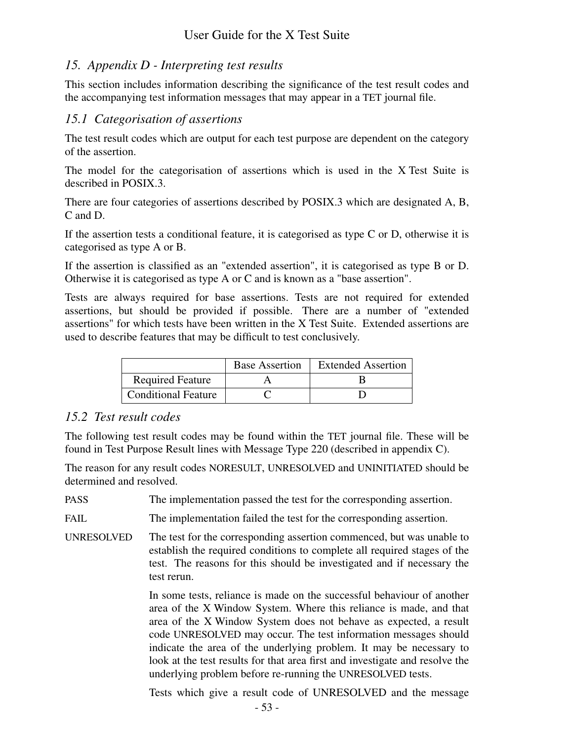# *15. Appendix D-Interpreting test results*

This section includes information describing the significance of the test result codes and the accompanying test information messages that may appear in a TET journal file.

## *15.1 Categorisation of assertions*

The test result codes which are output for each test purpose are dependent on the category of the assertion.

The model for the categorisation of assertions which is used in the X Test Suite is described in POSIX.3.

There are four categories of assertions described by POSIX.3 which are designated A, B, C and D.

If the assertion tests a conditional feature, it is categorised as type C or D, otherwise it is categorised as type A or B.

If the assertion is classified as an "extended assertion", it is categorised as type B or D. Otherwise it is categorised as type A or C and is known as a "base assertion".

Tests are always required for base assertions. Tests are not required for extended assertions, but should be provided if possible. There are a number of "extended assertions" for which tests have been written in the X Test Suite. Extended assertions are used to describe features that may be difficult to test conclusively.

|                            | <b>Base Assertion</b> | <b>Extended Assertion</b> |
|----------------------------|-----------------------|---------------------------|
| <b>Required Feature</b>    |                       |                           |
| <b>Conditional Feature</b> |                       |                           |

## *15.2 Test result codes*

The following test result codes may be found within the TET journal file. These will be found in Test Purpose Result lines with Message Type 220 (described in appendix C).

The reason for any result codes NORESULT, UNRESOLVED and UNINITIATED should be determined and resolved.

PASS The implementation passed the test for the corresponding assertion.

FAIL The implementation failed the test for the corresponding assertion.

UNRESOLVED The test for the corresponding assertion commenced, but was unable to establish the required conditions to complete all required stages of the test. The reasons for this should be investigated and if necessary the test rerun.

> In some tests, reliance is made on the successful behaviour of another area of the X Window System. Where this reliance is made, and that area of the X Window System does not behave as expected, a result code UNRESOLVED may occur. The test information messages should indicate the area of the underlying problem. It may be necessary to look at the test results for that area first and investigate and resolve the underlying problem before re-running the UNRESOLVED tests.

> Tests which give a result code of UNRESOLVED and the message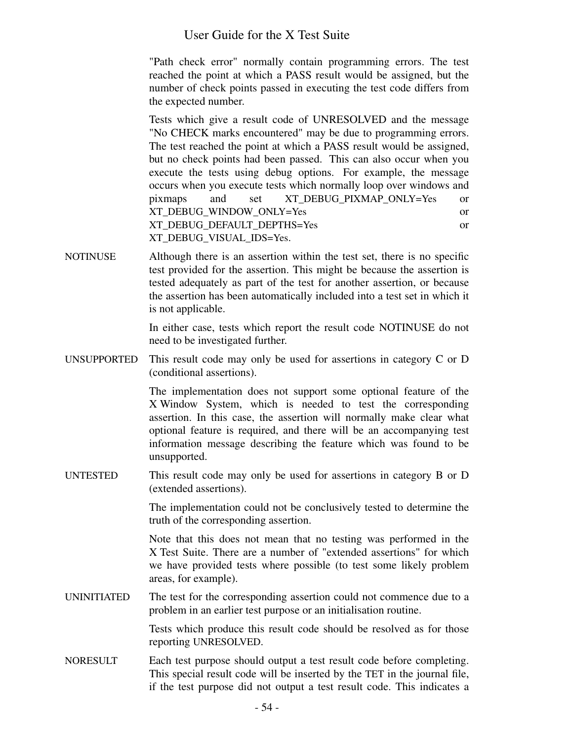"Path check error" normally contain programming errors. The test reached the point at which a PASS result would be assigned, but the number of check points passed in executing the test code differs from the expected number.

Tests which give a result code of UNRESOLVED and the message "No CHECK marks encountered" may be due to programming errors. The test reached the point at which a PASS result would be assigned, but no check points had been passed. This can also occur when you execute the tests using debug options. For example, the message occurs when you execute tests which normally loop over windows and pixmaps and set XT\_DEBUG\_PIXMAP\_ONLY=Yes or XT\_DEBUG\_WINDOW\_ONLY=Yes or XT\_DEBUG\_DEFAULT\_DEPTHS=Yes or XT\_DEBUG\_VISUAL\_IDS=Yes.

NOTINUSE Although there is an assertion within the test set, there is no specific test provided for the assertion. This might be because the assertion is tested adequately as part of the test for another assertion, or because the assertion has been automatically included into a test set in which it is not applicable.

> In either case, tests which report the result code NOTINUSE do not need to be investigated further.

UNSUPPORTED This result code may only be used for assertions in category C or D (conditional assertions).

> The implementation does not support some optional feature of the X Window System, which is needed to test the corresponding assertion. In this case, the assertion will normally make clear what optional feature is required, and there will be an accompanying test information message describing the feature which was found to be unsupported.

UNTESTED This result code may only be used for assertions in category B or D (extended assertions).

> The implementation could not be conclusively tested to determine the truth of the corresponding assertion.

> Note that this does not mean that no testing was performed in the X Test Suite. There are a number of "extended assertions" for which we have provided tests where possible (to test some likely problem areas, for example).

UNINITIATED The test for the corresponding assertion could not commence due to a problem in an earlier test purpose or an initialisation routine.

> Tests which produce this result code should be resolved as for those reporting UNRESOLVED.

NORESULT Each test purpose should output a test result code before completing. This special result code will be inserted by the TET in the journal file, if the test purpose did not output a test result code. This indicates a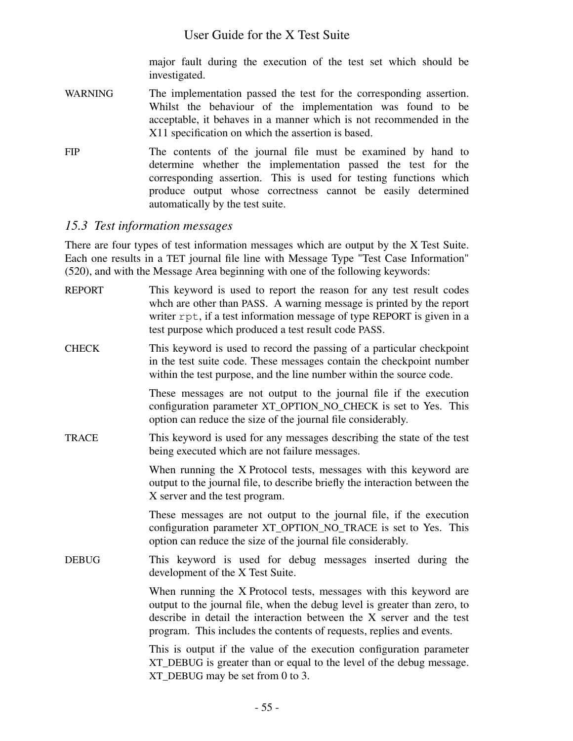major fault during the execution of the test set which should be investigated.

- WARNING The implementation passed the test for the corresponding assertion. Whilst the behaviour of the implementation was found to be acceptable, it behaves in a manner which is not recommended in the X11 specification on which the assertion is based.
- FIP The contents of the journal file must be examined by hand to determine whether the implementation passed the test for the corresponding assertion. This is used for testing functions which produce output whose correctness cannot be easily determined automatically by the test suite.

# *15.3 Test information messages*

There are four types of test information messages which are output by the X Test Suite. Each one results in a TET journal file line with Message Type "Test Case Information" (520), and with the Message Area beginning with one of the following keywords:

| <b>REPORT</b> | This keyword is used to report the reason for any test result codes<br>whch are other than PASS. A warning message is printed by the report<br>writer rpt, if a test information message of type REPORT is given in a<br>test purpose which produced a test result code PASS.                  |
|---------------|------------------------------------------------------------------------------------------------------------------------------------------------------------------------------------------------------------------------------------------------------------------------------------------------|
| <b>CHECK</b>  | This keyword is used to record the passing of a particular checkpoint<br>in the test suite code. These messages contain the checkpoint number<br>within the test purpose, and the line number within the source code.                                                                          |
|               | These messages are not output to the journal file if the execution<br>configuration parameter XT_OPTION_NO_CHECK is set to Yes. This<br>option can reduce the size of the journal file considerably.                                                                                           |
| <b>TRACE</b>  | This keyword is used for any messages describing the state of the test<br>being executed which are not failure messages.                                                                                                                                                                       |
|               | When running the X Protocol tests, messages with this keyword are<br>output to the journal file, to describe briefly the interaction between the<br>X server and the test program.                                                                                                             |
|               | These messages are not output to the journal file, if the execution<br>configuration parameter XT_OPTION_NO_TRACE is set to Yes. This<br>option can reduce the size of the journal file considerably.                                                                                          |
| <b>DEBUG</b>  | This keyword is used for debug messages inserted during the<br>development of the X Test Suite.                                                                                                                                                                                                |
|               | When running the X Protocol tests, messages with this keyword are<br>output to the journal file, when the debug level is greater than zero, to<br>describe in detail the interaction between the X server and the test<br>program. This includes the contents of requests, replies and events. |
|               | This is output if the value of the execution configuration parameter<br>XT_DEBUG is greater than or equal to the level of the debug message.<br>XT_DEBUG may be set from 0 to 3.                                                                                                               |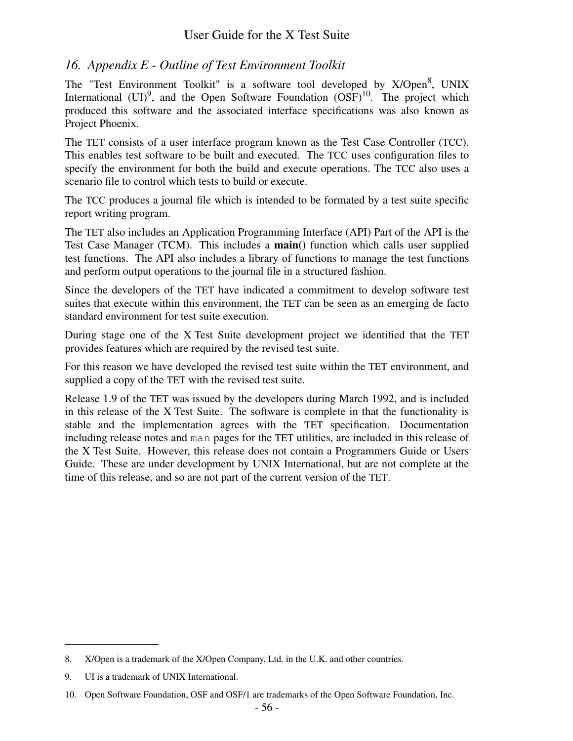## *16. Appendix E-Outline of Test Environment Toolkit*

The "Test Environment Toolkit" is a software tool developed by X/Open<sup>8</sup>, UNIX International  $(UI)^9$ , and the Open Software Foundation  $(OSF)^{10}$ . The project which produced this software and the associated interface specifications was also known as Project Phoenix.

The TET consists of a user interface program known as the Test Case Controller (TCC). This enables test software to be built and executed. The TCC uses configuration files to specify the environment for both the build and execute operations. The TCC also uses a scenario file to control which tests to build or execute.

The TCC produces a journal file which is intended to be formated by a test suite specific report writing program.

The TET also includes an Application Programming Interface (API) Part of the API is the Test Case Manager (TCM). This includes a **main()** function which calls user supplied test functions. The API also includes a library of functions to manage the test functions and perform output operations to the journal file in a structured fashion.

Since the developers of the TET have indicated a commitment to develop software test suites that execute within this environment, the TET can be seen as an emerging de facto standard environment for test suite execution.

During stage one of the X Test Suite development project we identified that the TET provides features which are required by the revised test suite.

For this reason we have developed the revised test suite within the TET environment, and supplied a copy of the TET with the revised test suite.

Release 1.9 of the TET was issued by the developers during March 1992, and is included in this release of the X Test Suite. The software is complete in that the functionality is stable and the implementation agrees with the TET specification. Documentation including release notes and man pages for the TET utilities, are included in this release of the X Test Suite. However, this release does not contain a Programmers Guide or Users Guide. These are under development by UNIX International, but are not complete at the time of this release, and so are not part of the current version of the TET.

<sup>8.</sup> X/Open is a trademark of the X/Open Company, Ltd. in the U.K. and other countries.

<sup>9.</sup> UI is a trademark of UNIX International.

<sup>10.</sup> Open Software Foundation, OSF and OSF/1 are trademarks of the Open Software Foundation, Inc.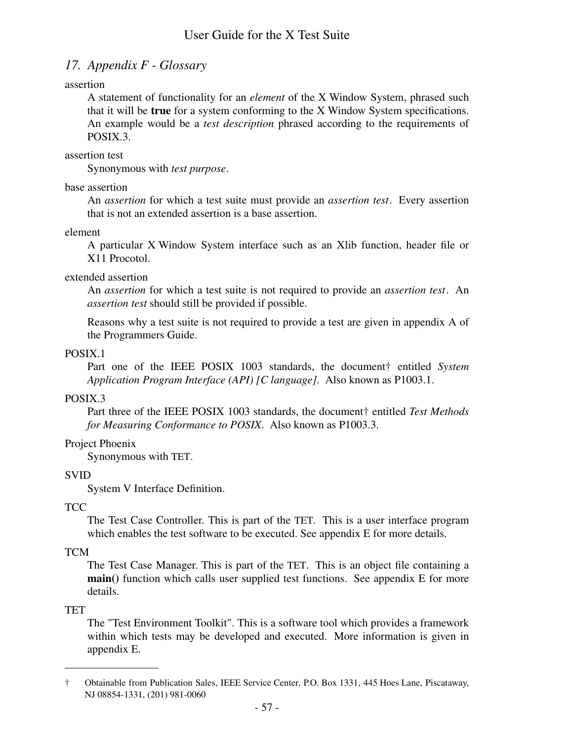# *17. Appendix F-Glossary*

### assertion

A statement of functionality for an *element* of the X Window System, phrased such that it will be **true** for a system conforming to the X Window System specifications. An example would be a *test description* phrased according to the requirements of POSIX.3.

### assertion test

Synonymous with *test purpose*.

### base assertion

An *assertion* for which a test suite must provide an *assertion test*. Every assertion that is not an extended assertion is a base assertion.

### element

A particular X Window System interface such as an Xlib function, header file or X11 Procotol.

### extended assertion

An *assertion* for which a test suite is not required to provide an *assertion test*. An *assertion test* should still be provided if possible.

Reasons why a test suite is not required to provide a test are given in appendix A of the Programmers Guide.

## POSIX.1

Part one of the IEEE POSIX 1003 standards, the document† entitled *System Application Program Interface (API) [C language]*. Also known as P1003.1.

## POSIX.3

Part three of the IEEE POSIX 1003 standards, the document† entitled *Test Methods for Measuring Conformance to POSIX*. Also known as P1003.3.

## Project Phoenix

Synonymous with TET.

## SVID

System V Interface Definition.

## **TCC**

The Test Case Controller. This is part of the TET. This is a user interface program which enables the test software to be executed. See appendix E for more details.

## TCM

The Test Case Manager. This is part of the TET. This is an object file containing a **main()** function which calls user supplied test functions. See appendix E for more details.

## **TET**

The "Test Environment Toolkit". This is a software tool which provides a framework within which tests may be developed and executed. More information is given in appendix E.

<sup>†</sup> Obtainable from Publication Sales, IEEE Service Center, P.O. Box 1331, 445 Hoes Lane, Piscataway, NJ 08854-1331, (201) 981-0060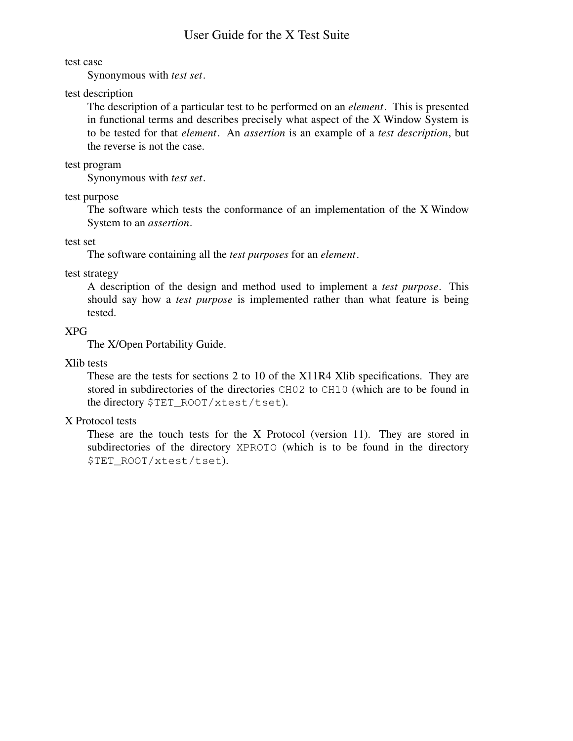#### test case

Synonymous with *test set*.

#### test description

The description of a particular test to be performed on an *element*. This is presented in functional terms and describes precisely what aspect of the X Window System is to be tested for that *element*. An *assertion* is an example of a *test description*, but the reverse is not the case.

#### test program

Synonymous with *test set*.

test purpose

The software which tests the conformance of an implementation of the X Window System to an *assertion*.

test set

The software containing all the *test purposes* for an *element*.

test strategy

A description of the design and method used to implement a *test purpose*. This should say how a *test purpose* is implemented rather than what feature is being tested.

### XPG

The X/Open Portability Guide.

#### Xlib tests

These are the tests for sections 2 to 10 of the X11R4 Xlib specifications. They are stored in subdirectories of the directories CH02 to CH10 (which are to be found in the directory \$TET\_ROOT/xtest/tset).

#### X Protocol tests

These are the touch tests for the X Protocol (version 11). They are stored in subdirectories of the directory XPROTO (which is to be found in the directory \$TET\_ROOT/xtest/tset).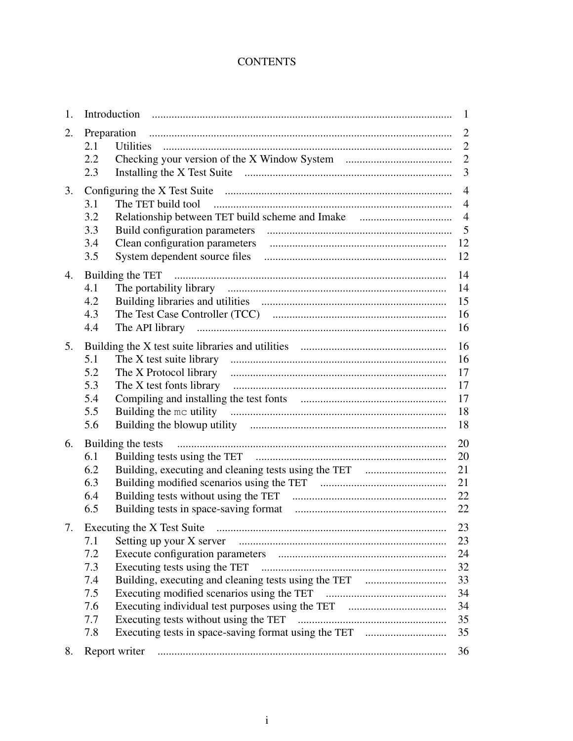## **CONTENTS**

| 1. |                                                       | -1                                                              |
|----|-------------------------------------------------------|-----------------------------------------------------------------|
| 2. | 2.1                                                   | $\overline{2}$                                                  |
|    | 2.2<br>2.3                                            | $\overline{2}$<br>3                                             |
| 3. | 3.1<br>3.2<br>3.3<br>3.4<br>3.5                       | $\overline{4}$<br>$\overline{4}$<br>$\overline{4}$<br>-12<br>12 |
| 4. | 4.1<br>4.2<br>4.3<br>4.4                              | 14<br>14<br>15<br>16<br>16                                      |
| 5. | 5.1<br>5.2<br>5.3<br>5.4<br>5.5<br>5.6                | 16<br>16<br>17<br>17<br>17<br>18<br>18                          |
| 6. | Building the tests<br>6.1<br>6.2<br>6.3<br>6.4<br>6.5 | 20<br>20<br>21<br>21<br>22<br>22                                |
|    | 7.1<br>7.2<br>7.3<br>7.4<br>7.5<br>7.6<br>7.7<br>7.8  | 23<br>23<br>24<br>32<br>33<br>34<br>34<br>35<br>35              |
| 8. |                                                       | 36                                                              |